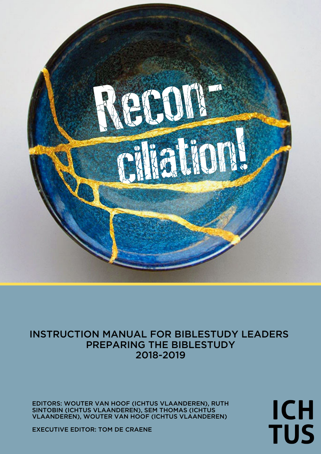

# INSTRUCTION MANUAL FOR BIBLESTUDY LEADERS PREPARING THE BIBLESTUDY 2018-2019

EDITORS: WOUTER VAN HOOF (ICHTUS VLAANDEREN), RUTH SINTOBIN (ICHTUS VLAANDEREN), SEM THOMAS (ICHTUS VLAANDEREN), WOUTER VAN HOOF (ICHTUS VLAANDEREN)

**ICH TUS** 

EXECUTIVE EDITOR: TOM DE CRAENE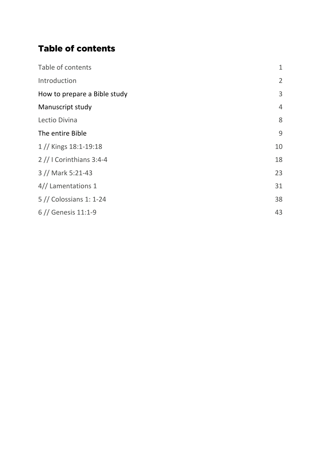# Table of contents

| Table of contents            | $\mathbf 1$    |
|------------------------------|----------------|
| Introduction                 | $\overline{2}$ |
| How to prepare a Bible study | 3              |
| Manuscript study             | $\overline{4}$ |
| Lectio Divina                | 8              |
| The entire Bible             | 9              |
| 1 // Kings 18:1-19:18        | 10             |
| $2$ // I Corinthians 3:4-4   | 18             |
| 3 // Mark 5:21-43            | 23             |
| 4// Lamentations 1           | 31             |
| 5 // Colossians 1: 1-24      | 38             |
| $6$ // Genesis 11:1-9        | 43             |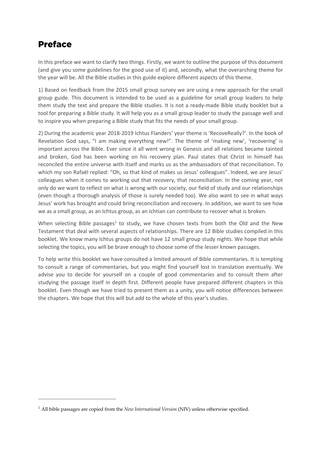# Preface

 $\overline{a}$ 

In this preface we want to clarify two things. Firstly, we want to outline the purpose of this document (and give you some guidelines for the good use of it) and, secondly, what the overarching theme for the year will be. All the Bible studies in this guide explore different aspects of this theme.

1) Based on feedback from the 2015 small group survey we are using a new approach for the small group guide. This document is intended to be used as a guideline for small group leaders to help them study the text and prepare the Bible studies. It is not a ready-made Bible study booklet but a tool for preparing a Bible study. It will help you as a small group leader to study the passage well and to inspire you when preparing a Bible study that fits the needs of your small group.

2) During the academic year 2018-2019 Ichtus Flanders' year theme is 'RecoveReally?'. In the book of Revelation God says, "I am making everything new!". The theme of 'making new', 'recovering' is important across the Bible. Ever since it all went wrong in Genesis and all relations became tainted and broken, God has been working on his recovery plan. Paul states that Christ in himself has reconciled the entire universe with itself and marks us as the ambassadors of that reconciliation. To which my son Rafaël replied: "Oh, so that kind of makes us Jesus' colleagues". Indeed, we are Jesus' colleagues when it comes to working out that recovery, that reconciliation. In the coming year, not only do we want to reflect on what is wrong with our society, our field of study and our relationships (even though a thorough analysis of those is surely needed too). We also want to see in what ways Jesus' work has brought and could bring reconciliation and recovery. In addition, we want to see how we as a small group, as an Ichtus group, as an Ichtian can contribute to recover what is broken.

When selecting Bible passages<sup>1</sup> to study, we have chosen texts from both the Old and the New Testament that deal with several aspects of relationships. There are 12 Bible studies compiled in this booklet. We know many Ichtus groups do not have 12 small group study nights. We hope that while selecting the topics, you will be brave enough to choose some of the lesser known passages.

To help write this booklet we have consulted a limited amount of Bible commentaries. It is tempting to consult a range of commentaries, but you might find yourself lost in translation eventually. We advise you to decide for yourself on a couple of good commentaries and to consult them after studying the passage itself in depth first. Different people have prepared different chapters in this booklet. Even though we have tried to present them as a unity, you will notice differences between the chapters. We hope that this will but add to the whole of this year's studies.

<sup>1</sup> All bible passages are copied from the *New International Version* (NIV) unless otherwise specified.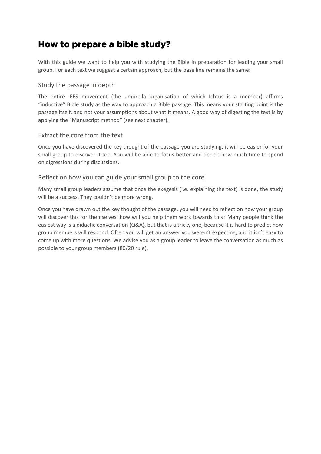# How to prepare a bible study?

With this guide we want to help you with studying the Bible in preparation for leading your small group. For each text we suggest a certain approach, but the base line remains the same:

# Study the passage in depth

The entire IFES movement (the umbrella organisation of which Ichtus is a member) affirms "inductive" Bible study as the way to approach a Bible passage. This means your starting point is the passage itself, and not your assumptions about what it means. A good way of digesting the text is by applying the "Manuscript method" (see next chapter).

# Extract the core from the text

Once you have discovered the key thought of the passage you are studying, it will be easier for your small group to discover it too. You will be able to focus better and decide how much time to spend on digressions during discussions.

# Reflect on how you can guide your small group to the core

Many small group leaders assume that once the exegesis (i.e. explaining the text) is done, the study will be a success. They couldn't be more wrong.

Once you have drawn out the key thought of the passage, you will need to reflect on how your group will discover this for themselves: how will you help them work towards this? Many people think the easiest way is a didactic conversation (Q&A), but that is a tricky one, because it is hard to predict how group members will respond. Often you will get an answer you weren't expecting, and it isn't easy to come up with more questions. We advise you as a group leader to leave the conversation as much as possible to your group members (80/20 rule).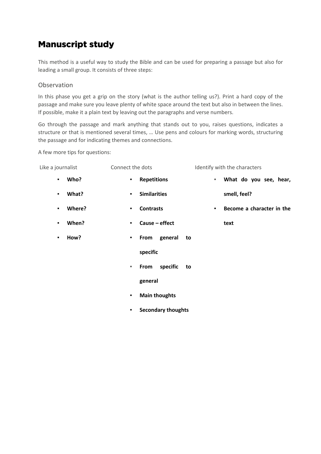# Manuscript study

This method is a useful way to study the Bible and can be used for preparing a passage but also for leading a small group. It consists of three steps:

# **Observation**

In this phase you get a grip on the story (what is the author telling us?). Print a hard copy of the passage and make sure you leave plenty of white space around the text but also in between the lines. If possible, make it a plain text by leaving out the paragraphs and verse numbers.

Go through the passage and mark anything that stands out to you, raises questions, indicates a structure or that is mentioned several times, … Use pens and colours for marking words, structuring the passage and for indicating themes and connections.

A few more tips for questions:

| Like a journalist        | Connect the dots               | Identify with the characters                |
|--------------------------|--------------------------------|---------------------------------------------|
| Who?<br>$\blacksquare$   | <b>Repetitions</b><br>٠        | What do you see, hear,<br>٠                 |
| What?<br>٠               | <b>Similarities</b><br>٠       | smell, feel?                                |
| Where?<br>$\blacksquare$ | <b>Contrasts</b><br>٠          | Become a character in the<br>$\blacksquare$ |
| When?<br>٠               | Cause - effect<br>٠            | text                                        |
| How?<br>٠                | general<br>From<br>to<br>٠     |                                             |
|                          | specific                       |                                             |
|                          | specific<br>From<br>to<br>٠    |                                             |
|                          | general                        |                                             |
|                          | <b>Main thoughts</b><br>٠      |                                             |
|                          | <b>Secondary thoughts</b><br>٠ |                                             |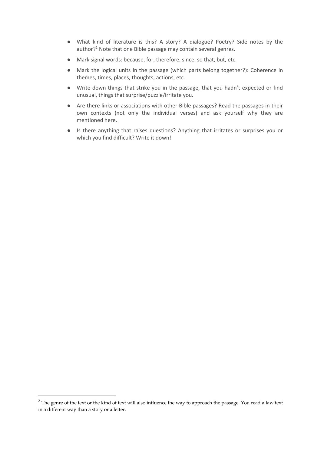- What kind of literature is this? A story? A dialogue? Poetry? Side notes by the author?<sup>2</sup> Note that one Bible passage may contain several genres.
- Mark signal words: because, for, therefore, since, so that, but, etc.
- Mark the logical units in the passage (which parts belong together?): Coherence in themes, times, places, thoughts, actions, etc.
- Write down things that strike you in the passage, that you hadn't expected or find unusual, things that surprise/puzzle/irritate you.
- Are there links or associations with other Bible passages? Read the passages in their own contexts (not only the individual verses) and ask yourself why they are mentioned here.
- Is there anything that raises questions? Anything that irritates or surprises you or which you find difficult? Write it down!

 $2$  The genre of the text or the kind of text will also influence the way to approach the passage. You read a law text in a different way than a story or a letter.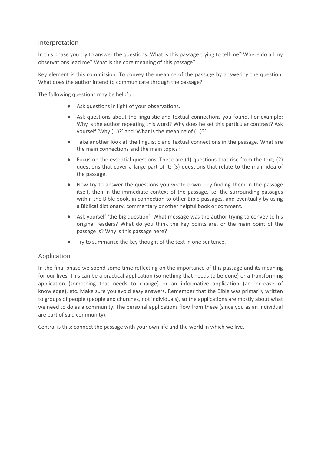### Interpretation

In this phase you try to answer the questions: What is this passage trying to tell me? Where do all my observations lead me? What is the core meaning of this passage?

Key element is this commission: To convey the meaning of the passage by answering the question: What does the author intend to communicate through the passage?

The following questions may be helpful:

- Ask questions in light of your observations.
- Ask questions about the linguistic and textual connections you found. For example: Why is the author repeating this word? Why does he set this particular contrast? Ask yourself 'Why (…)?' and 'What is the meaning of (…)?'
- Take another look at the linguistic and textual connections in the passage. What are the main connections and the main topics?
- $\bullet$  Focus on the essential questions. These are (1) questions that rise from the text; (2) questions that cover a large part of it; (3) questions that relate to the main idea of the passage.
- Now try to answer the questions you wrote down. Try finding them in the passage itself, then in the immediate context of the passage, i.e. the surrounding passages within the Bible book, in connection to other Bible passages, and eventually by using a Biblical dictionary, commentary or other helpful book or comment.
- Ask yourself 'the big question': What message was the author trying to convey to his original readers? What do you think the key points are, or the main point of the passage is? Why is this passage here?
- Try to summarize the key thought of the text in one sentence.

# Application

In the final phase we spend some time reflecting on the importance of this passage and its meaning for our lives. This can be a practical application (something that needs to be done) or a transforming application (something that needs to change) or an informative application (an increase of knowledge), etc. Make sure you avoid easy answers. Remember that the Bible was primarily written to groups of people (people and churches, not individuals), so the applications are mostly about what we need to do as a community. The personal applications flow from these (since you as an individual are part of said community).

Central is this: connect the passage with your own life and the world in which we live.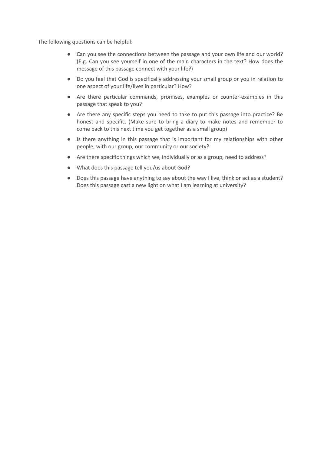The following questions can be helpful:

- Can you see the connections between the passage and your own life and our world? (E.g. Can you see yourself in one of the main characters in the text? How does the message of this passage connect with your life?)
- Do you feel that God is specifically addressing your small group or you in relation to one aspect of your life/lives in particular? How?
- Are there particular commands, promises, examples or counter-examples in this passage that speak to you?
- Are there any specific steps you need to take to put this passage into practice? Be honest and specific. (Make sure to bring a diary to make notes and remember to come back to this next time you get together as a small group)
- Is there anything in this passage that is important for my relationships with other people, with our group, our community or our society?
- Are there specific things which we, individually or as a group, need to address?
- What does this passage tell you/us about God?
- Does this passage have anything to say about the way I live, think or act as a student? Does this passage cast a new light on what I am learning at university?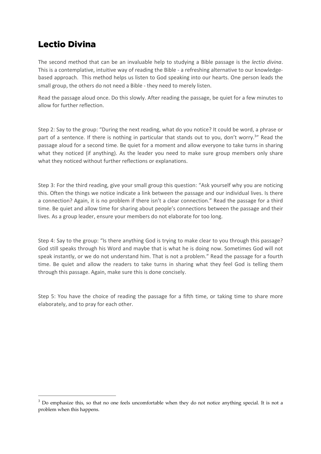# Lectio Divina

The second method that can be an invaluable help to studying a Bible passage is the *lectio divina*. This is a contemplative, intuitive way of reading the Bible - a refreshing alternative to our knowledgebased approach. This method helps us listen to God speaking into our hearts. One person leads the small group, the others do not need a Bible - they need to merely listen.

Read the passage aloud once. Do this slowly. After reading the passage, be quiet for a few minutes to allow for further reflection.

Step 2: Say to the group: "During the next reading, what do you notice? It could be word, a phrase or part of a sentence. If there is nothing in particular that stands out to you, don't worry.<sup>3</sup>" Read the passage aloud for a second time. Be quiet for a moment and allow everyone to take turns in sharing what they noticed (if anything). As the leader you need to make sure group members only share what they noticed without further reflections or explanations.

Step 3: For the third reading, give your small group this question: "Ask yourself why you are noticing this. Often the things we notice indicate a link between the passage and our individual lives. Is there a connection? Again, it is no problem if there isn't a clear connection." Read the passage for a third time. Be quiet and allow time for sharing about people's connections between the passage and their lives. As a group leader, ensure your members do not elaborate for too long.

Step 4: Say to the group: "Is there anything God is trying to make clear to you through this passage? God still speaks through his Word and maybe that is what he is doing now. Sometimes God will not speak instantly, or we do not understand him. That is not a problem." Read the passage for a fourth time. Be quiet and allow the readers to take turns in sharing what they feel God is telling them through this passage. Again, make sure this is done concisely.

Step 5: You have the choice of reading the passage for a fifth time, or taking time to share more elaborately, and to pray for each other.

<sup>&</sup>lt;sup>3</sup> Do emphasize this, so that no one feels uncomfortable when they do not notice anything special. It is not a problem when this happens.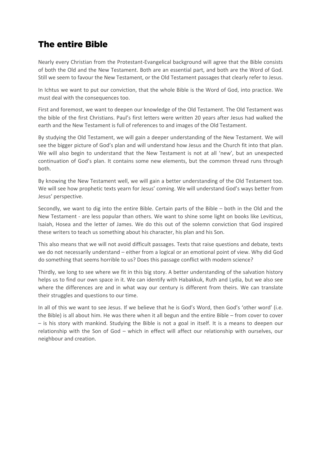# The entire Bible

Nearly every Christian from the Protestant-Evangelical background will agree that the Bible consists of both the Old and the New Testament. Both are an essential part, and both are the Word of God. Still we seem to favour the New Testament, or the Old Testament passages that clearly refer to Jesus.

In Ichtus we want to put our conviction, that the whole Bible is the Word of God, into practice. We must deal with the consequences too.

First and foremost, we want to deepen our knowledge of the Old Testament. The Old Testament was the bible of the first Christians. Paul's first letters were written 20 years after Jesus had walked the earth and the New Testament is full of references to and images of the Old Testament.

By studying the Old Testament, we will gain a deeper understanding of the New Testament. We will see the bigger picture of God's plan and will understand how Jesus and the Church fit into that plan. We will also begin to understand that the New Testament is not at all 'new', but an unexpected continuation of God's plan. It contains some new elements, but the common thread runs through both.

By knowing the New Testament well, we will gain a better understanding of the Old Testament too. We will see how prophetic texts yearn for Jesus' coming. We will understand God's ways better from Jesus' perspective.

Secondly, we want to dig into the entire Bible. Certain parts of the Bible – both in the Old and the New Testament - are less popular than others. We want to shine some light on books like Leviticus, Isaiah, Hosea and the letter of James. We do this out of the solemn conviction that God inspired these writers to teach us something about his character, his plan and his Son.

This also means that we will not avoid difficult passages. Texts that raise questions and debate, texts we do not necessarily understand – either from a logical or an emotional point of view. Why did God do something that seems horrible to us? Does this passage conflict with modern science?

Thirdly, we long to see where we fit in this big story. A better understanding of the salvation history helps us to find our own space in it. We can identify with Habakkuk, Ruth and Lydia, but we also see where the differences are and in what way our century is different from theirs. We can translate their struggles and questions to our time.

In all of this we want to see Jesus. If we believe that he is God's Word, then God's 'other word' (i.e. the Bible) is all about him. He was there when it all begun and the entire Bible – from cover to cover – is his story with mankind. Studying the Bible is not a goal in itself. It is a means to deepen our relationship with the Son of God – which in effect will affect our relationship with ourselves, our neighbour and creation.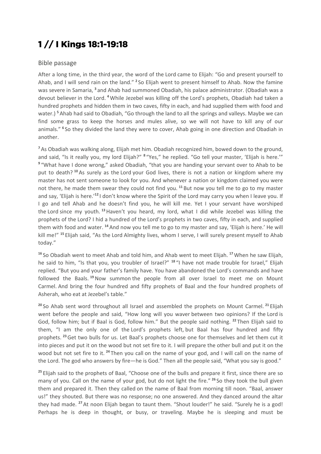# 1 // I Kings 18:1-19:18

### Bible passage

After a long time, in the third year, the word of the Lord came to Elijah: "Go and present yourself to Ahab, and I will send rain on the land." **<sup>2</sup>** So Elijah went to present himself to Ahab. Now the famine was severe in Samaria, **<sup>3</sup>** and Ahab had summoned Obadiah, his palace administrator. (Obadiah was a devout believer in the Lord. **<sup>4</sup>**While Jezebel was killing off the Lord's prophets, Obadiah had taken a hundred prophets and hidden them in two caves, fifty in each, and had supplied them with food and water.) **<sup>5</sup>** Ahab had said to Obadiah, "Go through the land to all the springs and valleys. Maybe we can find some grass to keep the horses and mules alive, so we will not have to kill any of our animals." **<sup>6</sup>** So they divided the land they were to cover, Ahab going in one direction and Obadiah in another.

**<sup>7</sup>** As Obadiah was walking along, Elijah met him. Obadiah recognized him, bowed down to the ground, and said, "Is it really you, my lord Elijah?" **<sup>8</sup>** "Yes," he replied. "Go tell your master, 'Elijah is here.'" **<sup>9</sup>** "What have I done wrong," asked Obadiah, "that you are handing your servant over to Ahab to be put to death? **<sup>10</sup>** As surely as the Lord your God lives, there is not a nation or kingdom where my master has not sent someone to look for you. And whenever a nation or kingdom claimed you were not there, he made them swear they could not find you. **<sup>11</sup>** But now you tell me to go to my master and say, 'Elijah is here.'**<sup>12</sup>** I don't know where the Spirit of the Lord may carry you when I leave you. If I go and tell Ahab and he doesn't find you, he will kill me. Yet I your servant have worshiped the Lord since my youth. **<sup>13</sup>**Haven't you heard, my lord, what I did while Jezebel was killing the prophets of the Lord? I hid a hundred of the Lord's prophets in two caves, fifty in each, and supplied them with food and water. **<sup>14</sup>** And now you tell me to go to my master and say, 'Elijah is here.' He will kill me!" **<sup>15</sup>** Elijah said, "As the Lord Almighty lives, whom I serve, I will surely present myself to Ahab today."

**<sup>16</sup>** So Obadiah went to meet Ahab and told him, and Ahab went to meet Elijah. **<sup>17</sup>**When he saw Elijah, he said to him, "Is that you, you troubler of Israel?" **<sup>18</sup>** "I have not made trouble for Israel," Elijah replied. "But you and your father's family have. You have abandoned the Lord's commands and have followed the Baals. **<sup>19</sup>**Now summon the people from all over Israel to meet me on Mount Carmel. And bring the four hundred and fifty prophets of Baal and the four hundred prophets of Asherah, who eat at Jezebel's table."

**<sup>20</sup>** So Ahab sent word throughout all Israel and assembled the prophets on Mount Carmel. **<sup>21</sup>** Elijah went before the people and said, "How long will you waver between two opinions? If the Lord is God, follow him; but if Baal is God, follow him." But the people said nothing. **<sup>22</sup>** Then Elijah said to them, "I am the only one of the Lord's prophets left, but Baal has four hundred and fifty prophets. **<sup>23</sup>**Get two bulls for us. Let Baal's prophets choose one for themselves and let them cut it into pieces and put it on the wood but not set fire to it. I will prepare the other bull and put it on the wood but not set fire to it. **<sup>24</sup>** Then you call on the name of your god, and I will call on the name of the Lord. The god who answers by fire—he is God." Then all the people said, "What you say is good."

<sup>25</sup> Elijah said to the prophets of Baal, "Choose one of the bulls and prepare it first, since there are so many of you. Call on the name of your god, but do not light the fire." **<sup>26</sup>** So they took the bull given them and prepared it. Then they called on the name of Baal from morning till noon. "Baal, answer us!" they shouted. But there was no response; no one answered. And they danced around the altar they had made. **<sup>27</sup>** At noon Elijah began to taunt them. "Shout louder!" he said. "Surely he is a god! Perhaps he is deep in thought, or busy, or traveling. Maybe he is sleeping and must be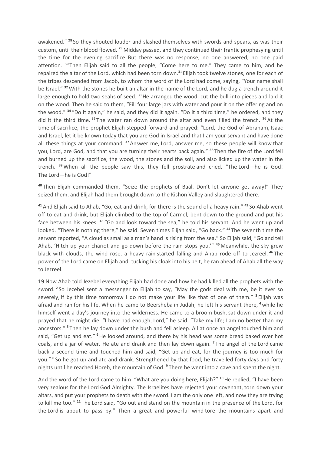awakened." **<sup>28</sup>** So they shouted louder and slashed themselves with swords and spears, as was their custom, until their blood flowed. **<sup>29</sup>** Midday passed, and they continued their frantic prophesying until the time for the evening sacrifice. But there was no response, no one answered, no one paid attention. **<sup>30</sup>** Then Elijah said to all the people, "Come here to me." They came to him, and he repaired the altar of the Lord, which had been torn down.**<sup>31</sup>** Elijah took twelve stones, one for each of the tribes descended from Jacob, to whom the word of the Lord had come, saying, "Your name shall be Israel." **<sup>32</sup>**With the stones he built an altar in the name of the Lord, and he dug a trench around it large enough to hold two seahs of seed. **<sup>33</sup>**He arranged the wood, cut the bull into pieces and laid it on the wood. Then he said to them, "Fill four large jars with water and pour it on the offering and on the wood." **<sup>34</sup>** "Do it again," he said, and they did it again. "Do it a third time," he ordered, and they did it the third time. **<sup>35</sup>** The water ran down around the altar and even filled the trench. **<sup>36</sup>** At the time of sacrifice, the prophet Elijah stepped forward and prayed: "Lord, the God of Abraham, Isaac and Israel, let it be known today that you are God in Israel and that I am your servant and have done all these things at your command. **<sup>37</sup>** Answer me, Lord, answer me, so these people will know that you, Lord, are God, and that you are turning their hearts back again." **<sup>38</sup>** Then the fire of the Lord fell and burned up the sacrifice, the wood, the stones and the soil, and also licked up the water in the trench. **<sup>39</sup>**When all the people saw this, they fell prostrate and cried, "The Lord—he is God! The Lord—he is God!"

**<sup>40</sup>** Then Elijah commanded them, "Seize the prophets of Baal. Don't let anyone get away!" They seized them, and Elijah had them brought down to the Kishon Valley and slaughtered there.

**<sup>41</sup>** And Elijah said to Ahab, "Go, eat and drink, for there is the sound of a heavy rain." **<sup>42</sup>** So Ahab went off to eat and drink, but Elijah climbed to the top of Carmel, bent down to the ground and put his face between his knees. **<sup>43</sup>** "Go and look toward the sea," he told his servant. And he went up and looked. "There is nothing there," he said. Seven times Elijah said, "Go back." **<sup>44</sup>** The seventh time the servant reported, "A cloud as small as a man's hand is rising from the sea." So Elijah said, "Go and tell Ahab, 'Hitch up your chariot and go down before the rain stops you.'" **<sup>45</sup>** Meanwhile, the sky grew black with clouds, the wind rose, a heavy rain started falling and Ahab rode off to Jezreel. **<sup>46</sup>** The power of the Lord came on Elijah and, tucking his cloak into his belt, he ran ahead of Ahab all the way to Jezreel.

**19** Now Ahab told Jezebel everything Elijah had done and how he had killed all the prophets with the sword. **<sup>2</sup>** So Jezebel sent a messenger to Elijah to say, "May the gods deal with me, be it ever so severely, if by this time tomorrow I do not make your life like that of one of them." **<sup>3</sup>** Elijah was afraid and ran for his life. When he came to Beersheba in Judah, he left his servant there, **<sup>4</sup>** while he himself went a day's journey into the wilderness. He came to a broom bush, sat down under it and prayed that he might die. "I have had enough, Lord," he said. "Take my life; I am no better than my ancestors." **<sup>5</sup>** Then he lay down under the bush and fell asleep. All at once an angel touched him and said, "Get up and eat." **<sup>6</sup>**He looked around, and there by his head was some bread baked over hot coals, and a jar of water. He ate and drank and then lay down again. **<sup>7</sup>** The angel of the Lord came back a second time and touched him and said, "Get up and eat, for the journey is too much for you." **<sup>8</sup>** So he got up and ate and drank. Strengthened by that food, he travelled forty days and forty nights until he reached Horeb, the mountain of God. **<sup>9</sup>** There he went into a cave and spent the night.

And the word of the Lord came to him: "What are you doing here, Elijah?" **<sup>10</sup>**He replied, "I have been very zealous for the Lord God Almighty. The Israelites have rejected your covenant, torn down your altars, and put your prophets to death with the sword. I am the only one left, and now they are trying to kill me too." **<sup>11</sup>** The Lord said, "Go out and stand on the mountain in the presence of the Lord, for the Lord is about to pass by." Then a great and powerful wind tore the mountains apart and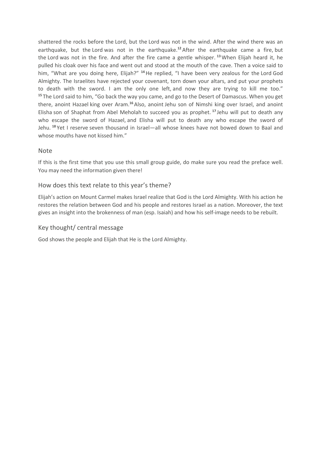shattered the rocks before the Lord, but the Lord was not in the wind. After the wind there was an earthquake, but the Lord was not in the earthquake.**<sup>12</sup>** After the earthquake came a fire, but the Lord was not in the fire. And after the fire came a gentle whisper. **<sup>13</sup>**When Elijah heard it, he pulled his cloak over his face and went out and stood at the mouth of the cave. Then a voice said to him, "What are you doing here, Elijah?" **<sup>14</sup>**He replied, "I have been very zealous for the Lord God Almighty. The Israelites have rejected your covenant, torn down your altars, and put your prophets to death with the sword. I am the only one left, and now they are trying to kill me too." **<sup>15</sup>** The Lord said to him, "Go back the way you came, and go to the Desert of Damascus. When you get there, anoint Hazael king over Aram.**<sup>16</sup>** Also, anoint Jehu son of Nimshi king over Israel, and anoint Elisha son of Shaphat from Abel Meholah to succeed you as prophet. **<sup>17</sup>** Jehu will put to death any who escape the sword of Hazael, and Elisha will put to death any who escape the sword of Jehu. **<sup>18</sup>** Yet I reserve seven thousand in Israel—all whose knees have not bowed down to Baal and whose mouths have not kissed him."

# Note

If this is the first time that you use this small group guide, do make sure you read the preface well. You may need the information given there!

# How does this text relate to this year's theme?

Elijah's action on Mount Carmel makes Israel realize that God is the Lord Almighty. With his action he restores the relation between God and his people and restores Israel as a nation. Moreover, the text gives an insight into the brokenness of man (esp. Isaiah) and how his self-image needs to be rebuilt.

# Key thought/ central message

God shows the people and Elijah that He is the Lord Almighty.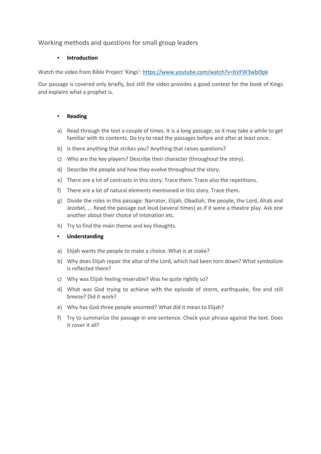# Working methods and questions for small group leaders

#### **Introduction**

Watch the video from Bible Project 'Kings': https://www.youtube.com/watch?v=bVFW3wbi9pk

Our passage is covered only briefly, but still the video provides a good context for the book of Kings and explains what a prophet is.

#### ▪ **Reading**

- a) Read through the text a couple of times. It is a long passage, so it may take a while to get familiar with its contents. Do try to read the passages before and after at least once.
- b) Is there anything that strikes you? Anything that raises questions?
- c) Who are the key players? Describe their character (throughout the story).
- d) Describe the people and how they evolve throughout the story.
- e) There are a lot of contrasts in this story. Trace them. Trace also the repetitions.
- f) There are a lot of natural elements mentioned in this story. Trace them.
- g) Divide the roles in this passage: Narrator, Elijah, Obadiah, the people, the Lord, Ahab and Jezebel, ... Read the passage out loud (several times) as if it were a theatre play. Ask one another about their choice of intonation etc.
- h) Try to find the main theme and key thoughts.

#### ▪ **Understanding**

- a) Elijah wants the people to make a choice. What is at stake?
- b) Why does Elijah repair the altar of the Lord, which had been torn down? What symbolism is reflected there?
- c) Why was Elijah feeling miserable? Was he quite rightly so?
- d) What was God trying to achieve with the episode of storm, earthquake, fire and still breeze? Did it work?
- e) Why has God three people anointed? What did it mean to Elijah?
- f) Try to summarize the passage in one sentence. Check your phrase against the text. Does it cover it all?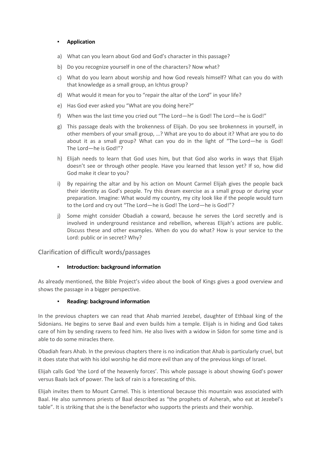#### ▪ **Application**

- a) What can you learn about God and God's character in this passage?
- b) Do you recognize yourself in one of the characters? Now what?
- c) What do you learn about worship and how God reveals himself? What can you do with that knowledge as a small group, an Ichtus group?
- d) What would it mean for you to "repair the altar of the Lord" in your life?
- e) Has God ever asked you "What are you doing here?"
- f) When was the last time you cried out "The Lord—he is God! The Lord—he is God!"
- g) This passage deals with the brokenness of Elijah. Do you see brokenness in yourself, in other members of your small group, …? What are you to do about it? What are you to do about it as a small group? What can you do in the light of "The Lord—he is God! The Lord—he is God!"?
- h) Elijah needs to learn that God uses him, but that God also works in ways that Elijah doesn't see or through other people. Have you learned that lesson yet? If so, how did God make it clear to you?
- i) By repairing the altar and by his action on Mount Carmel Elijah gives the people back their identity as God's people. Try this dream exercise as a small group or during your preparation. Imagine: What would my country, my city look like if the people would turn to the Lord and cry out "The Lord—he is God! The Lord—he is God!"?
- j) Some might consider Obadiah a coward, because he serves the Lord secretly and is involved in underground resistance and rebellion, whereas Elijah's actions are public. Discuss these and other examples. When do you do what? How is your service to the Lord: public or in secret? Why?

#### Clarification of difficult words/passages

#### ▪ **Introduction: background information**

As already mentioned, the Bible Project's video about the book of Kings gives a good overview and shows the passage in a bigger perspective.

#### **Reading: background information**

In the previous chapters we can read that Ahab married Jezebel, daughter of Ethbaal king of the Sidonians. He begins to serve Baal and even builds him a temple. Elijah is in hiding and God takes care of him by sending ravens to feed him. He also lives with a widow in Sidon for some time and is able to do some miracles there.

Obadiah fears Ahab. In the previous chapters there is no indication that Ahab is particularly cruel, but it does state that with his idol worship he did more evil than any of the previous kings of Israel.

Elijah calls God 'the Lord of the heavenly forces'. This whole passage is about showing God's power versus Baals lack of power. The lack of rain is a forecasting of this.

Elijah invites them to Mount Carmel. This is intentional because this mountain was associated with Baal. He also summons priests of Baal described as "the prophets of Asherah, who eat at Jezebel's table". It is striking that she is the benefactor who supports the priests and their worship.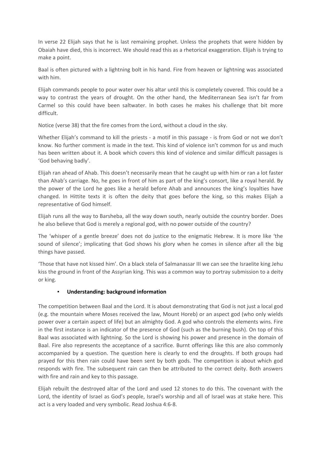In verse 22 Elijah says that he is last remaining prophet. Unless the prophets that were hidden by Obaiah have died, this is incorrect. We should read this as a rhetorical exaggeration. Elijah is trying to make a point.

Baal is often pictured with a lightning bolt in his hand. Fire from heaven or lightning was associated with him.

Elijah commands people to pour water over his altar until this is completely covered. This could be a way to contrast the years of drought. On the other hand, the Mediterranean Sea isn't far from Carmel so this could have been saltwater. In both cases he makes his challenge that bit more difficult.

Notice (verse 38) that the fire comes from the Lord, without a cloud in the sky.

Whether Elijah's command to kill the priests - a motif in this passage - is from God or not we don't know. No further comment is made in the text. This kind of violence isn't common for us and much has been written about it. A book which covers this kind of violence and similar difficult passages is 'God behaving badly'.

Elijah ran ahead of Ahab. This doesn't necessarily mean that he caught up with him or ran a lot faster than Ahab's carriage. No, he goes in front of him as part of the king's consort, like a royal herald. By the power of the Lord he goes like a herald before Ahab and announces the king's loyalties have changed. In Hittite texts it is often the deity that goes before the king, so this makes Elijah a representative of God himself.

Elijah runs all the way to Barsheba, all the way down south, nearly outside the country border. Does he also believe that God is merely a regional god, with no power outside of the country?

The 'whisper of a gentle breeze' does not do justice to the enigmatic Hebrew. It is more like 'the sound of silence'; implicating that God shows his glory when he comes in silence after all the big things have passed.

'Those that have not kissed him'. On a black stela of Salmanassar III we can see the Israelite king Jehu kiss the ground in front of the Assyrian king. This was a common way to portray submission to a deity or king.

#### ▪ **Understanding: background information**

The competition between Baal and the Lord. It is about demonstrating that God is not just a local god (e.g. the mountain where Moses received the law, Mount Horeb) or an aspect god (who only wields power over a certain aspect of life) but an almighty God. A god who controls the elements wins. Fire in the first instance is an indicator of the presence of God (such as the burning bush). On top of this Baal was associated with lightning. So the Lord is showing his power and presence in the domain of Baal. Fire also represents the acceptance of a sacrifice. Burnt offerings like this are also commonly accompanied by a question. The question here is clearly to end the droughts. If both groups had prayed for this then rain could have been sent by both gods. The competition is about which god responds with fire. The subsequent rain can then be attributed to the correct deity. Both answers with fire and rain and key to this passage.

Elijah rebuilt the destroyed altar of the Lord and used 12 stones to do this. The covenant with the Lord, the identity of Israel as God's people, Israel's worship and all of Israel was at stake here. This act is a very loaded and very symbolic. Read Joshua 4:6-8.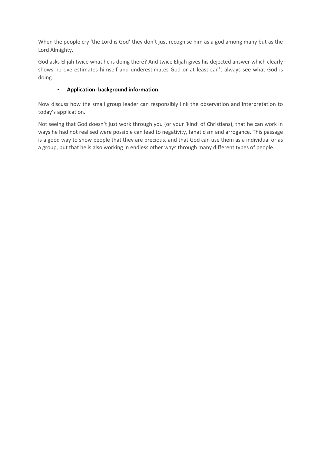When the people cry 'the Lord is God' they don't just recognise him as a god among many but as the Lord Almighty.

God asks Elijah twice what he is doing there? And twice Elijah gives his dejected answer which clearly shows he overestimates himself and underestimates God or at least can't always see what God is doing.

# ▪ **Application: background information**

Now discuss how the small group leader can responsibly link the observation and interpretation to today's application.

Not seeing that God doesn't just work through you (or your 'kind' of Christians), that he can work in ways he had not realised were possible can lead to negativity, fanaticism and arrogance. This passage is a good way to show people that they are precious, and that God can use them as a individual or as a group, but that he is also working in endless other ways through many different types of people.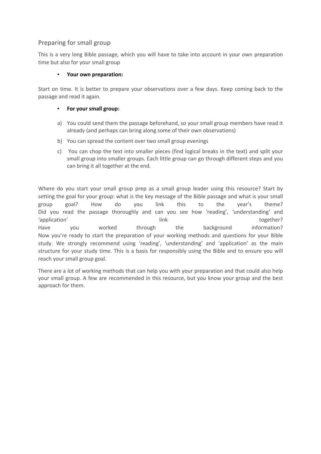# Preparing for small group

This is a very long Bible passage, which you will have to take into account in your own preparation time but also for your small group

#### Your own preparation:

Start on time. It is better to prepare your observations over a few days. Keep coming back to the passage and read it again.

#### ▪ **For your small group:**

- a) You could send them the passage beforehand, so your small group members have read it already (and perhaps can bring along some of their own observations)
- b) You can spread the content over two small group evenings
- c) You can chop the text into smaller pieces (find logical breaks in the text) and split your small group into smaller groups. Each little group can go through different steps and you can bring it all together at the end.

Where do you start your small group prep as a small group leader using this resource? Start by setting the goal for your group: what is the key message of the Bible passage and what is your small group goal? How do you link this to the year's theme? Did you read the passage thoroughly and can you see how 'reading', 'understanding' and 'application' link together? Have you worked through the background information? Now you're ready to start the preparation of your working methods and questions for your Bible study. We strongly recommend using 'reading', 'understanding' and 'application' as the main structure for your study time. This is a basis for responsibly using the Bible and to ensure you will reach your small group goal.

There are a lot of working methods that can help you with your preparation and that could also help your small group. A few are recommended in this resource, but you know your group and the best approach for them.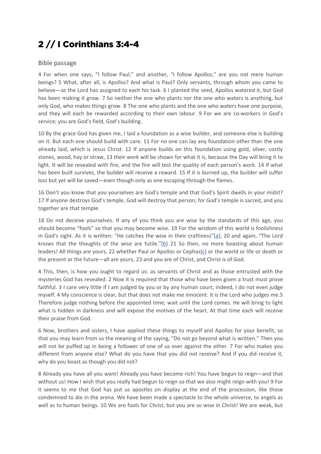# 2 // I Corinthians 3:4-4

#### Bible passage

4 For when one says, "I follow Paul," and another, "I follow Apollos," are you not mere human beings? 5 What, after all, is Apollos? And what is Paul? Only servants, through whom you came to believe—as the Lord has assigned to each his task. 6 I planted the seed, Apollos watered it, but God has been making it grow. 7 So neither the one who plants nor the one who waters is anything, but only God, who makes things grow. 8 The one who plants and the one who waters have one purpose, and they will each be rewarded according to their own labour. 9 For we are co-workers in God's service; you are God's field, God's building.

10 By the grace God has given me, I laid a foundation as a wise builder, and someone else is building on it. But each one should build with care. 11 For no one can lay any foundation other than the one already laid, which is Jesus Christ. 12 If anyone builds on this foundation using gold, silver, costly stones, wood, hay or straw, 13 their work will be shown for what it is, because the Day will bring it to light. It will be revealed with fire, and the fire will test the quality of each person's work. 14 If what has been built survives, the builder will receive a reward. 15 If it is burned up, the builder will suffer loss but yet will be saved—even though only as one escaping through the flames.

16 Don't you know that you yourselves are God's temple and that God's Spirit dwells in your midst? 17 If anyone destroys God's temple, God will destroy that person; for God's temple is sacred, and you together are that temple.

18 Do not deceive yourselves. If any of you think you are wise by the standards of this age, you should become "fools" so that you may become wise. 19 For the wisdom of this world is foolishness in God's sight. As it is written: "He catches the wise in their craftiness"[a]; 20 and again, "The Lord knows that the thoughts of the wise are futile."[b] 21 So then, no more boasting about human leaders! All things are yours, 22 whether Paul or Apollos or Cephas[c] or the world or life or death or the present or the future—all are yours, 23 and you are of Christ, and Christ is of God.

4 This, then, is how you ought to regard us: as servants of Christ and as those entrusted with the mysteries God has revealed. 2 Now it is required that those who have been given a trust must prove faithful. 3 I care very little if I am judged by you or by any human court; indeed, I do not even judge myself. 4 My conscience is clear, but that does not make me innocent. It is the Lord who judges me.5 Therefore judge nothing before the appointed time; wait until the Lord comes. He will bring to light what is hidden in darkness and will expose the motives of the heart. At that time each will receive their praise from God.

6 Now, brothers and sisters, I have applied these things to myself and Apollos for your benefit, so that you may learn from us the meaning of the saying, "Do not go beyond what is written." Then you will not be puffed up in being a follower of one of us over against the other. 7 For who makes you different from anyone else? What do you have that you did not receive? And if you did receive it, why do you boast as though you did not?

8 Already you have all you want! Already you have become rich! You have begun to reign—and that without us! How I wish that you really had begun to reign so that we also might reign with you! 9 For it seems to me that God has put us apostles on display at the end of the procession, like those condemned to die in the arena. We have been made a spectacle to the whole universe, to angels as well as to human beings. 10 We are fools for Christ, but you are so wise in Christ! We are weak, but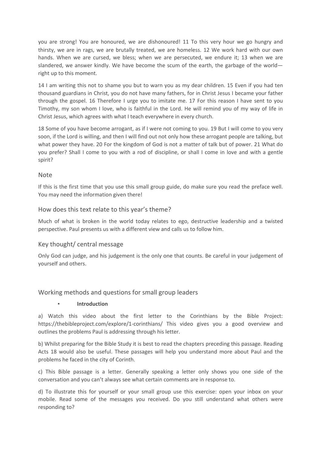you are strong! You are honoured, we are dishonoured! 11 To this very hour we go hungry and thirsty, we are in rags, we are brutally treated, we are homeless. 12 We work hard with our own hands. When we are cursed, we bless; when we are persecuted, we endure it; 13 when we are slandered, we answer kindly. We have become the scum of the earth, the garbage of the world right up to this moment.

14 I am writing this not to shame you but to warn you as my dear children. 15 Even if you had ten thousand guardians in Christ, you do not have many fathers, for in Christ Jesus I became your father through the gospel. 16 Therefore I urge you to imitate me. 17 For this reason I have sent to you Timothy, my son whom I love, who is faithful in the Lord. He will remind you of my way of life in Christ Jesus, which agrees with what I teach everywhere in every church.

18 Some of you have become arrogant, as if I were not coming to you. 19 But I will come to you very soon, if the Lord is willing, and then I will find out not only how these arrogant people are talking, but what power they have. 20 For the kingdom of God is not a matter of talk but of power. 21 What do you prefer? Shall I come to you with a rod of discipline, or shall I come in love and with a gentle spirit?

# Note

If this is the first time that you use this small group guide, do make sure you read the preface well. You may need the information given there!

# How does this text relate to this year's theme?

Much of what is broken in the world today relates to ego, destructive leadership and a twisted perspective. Paul presents us with a different view and calls us to follow him.

#### Key thought/ central message

Only God can judge, and his judgement is the only one that counts. Be careful in your judgement of yourself and others.

# Working methods and questions for small group leaders

#### **▪ Introduction**

a) Watch this video about the first letter to the Corinthians by the Bible Project: https://thebibleproject.com/explore/1-corinthians/ This video gives you a good overview and outlines the problems Paul is addressing through his letter.

b) Whilst preparing for the Bible Study it is best to read the chapters preceding this passage. Reading Acts 18 would also be useful. These passages will help you understand more about Paul and the problems he faced in the city of Corinth.

c) This Bible passage is a letter. Generally speaking a letter only shows you one side of the conversation and you can't always see what certain comments are in response to.

d) To illustrate this for yourself or your small group use this exercise: open your inbox on your mobile. Read some of the messages you received. Do you still understand what others were responding to?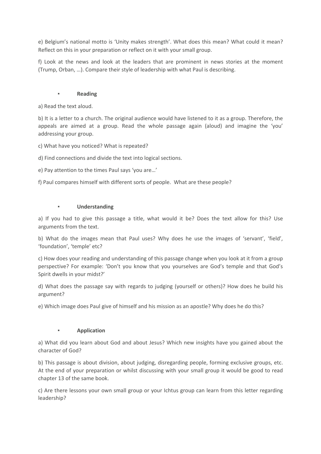e) Belgium's national motto is 'Unity makes strength'. What does this mean? What could it mean? Reflect on this in your preparation or reflect on it with your small group.

f) Look at the news and look at the leaders that are prominent in news stories at the moment (Trump, Orban, …). Compare their style of leadership with what Paul is describing.

#### **▪ Reading**

a) Read the text aloud.

b) It is a letter to a church. The original audience would have listened to it as a group. Therefore, the appeals are aimed at a group. Read the whole passage again (aloud) and imagine the 'you' addressing your group.

c) What have you noticed? What is repeated?

d) Find connections and divide the text into logical sections.

e) Pay attention to the times Paul says 'you are…'

f) Paul compares himself with different sorts of people. What are these people?

#### **▪ Understanding**

a) If you had to give this passage a title, what would it be? Does the text allow for this? Use arguments from the text.

b) What do the images mean that Paul uses? Why does he use the images of 'servant', 'field', 'foundation', 'temple' etc?

c) How does your reading and understanding of this passage change when you look at it from a group perspective? For example: 'Don't you know that you yourselves are God's temple and that God's Spirit dwells in your midst?'

d) What does the passage say with regards to judging (yourself or others)? How does he build his argument?

e) Which image does Paul give of himself and his mission as an apostle? Why does he do this?

#### **▪ Application**

a) What did you learn about God and about Jesus? Which new insights have you gained about the character of God?

b) This passage is about division, about judging, disregarding people, forming exclusive groups, etc. At the end of your preparation or whilst discussing with your small group it would be good to read chapter 13 of the same book.

c) Are there lessons your own small group or your Ichtus group can learn from this letter regarding leadership?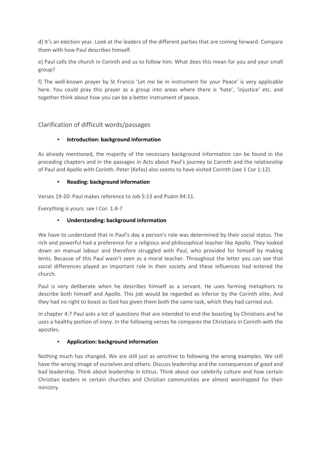d) It's an election year. Look at the leaders of the different parties that are coming forward. Compare them with how Paul describes himself.

e) Paul calls the church in Corinth and us to follow him. What does this mean for you and your small group?

f) The well-known prayer by St Francis 'Let me be in instrument for your Peace' is very applicable here. You could pray this prayer as a group into areas where there is 'hate', 'injustice' etc. and together think about how you can be a better instrument of peace.

# Clarification of difficult words/passages

#### **Introduction: background information**

As already mentioned, the majority of the necessary background information can be found in the preceding chapters and in the passages in Acts about Paul's journey to Corinth and the relationship of Paul and Apollo with Corinth. Peter (Kefas) also seems to have visited Corinth (see 1 Cor 1:12).

#### **Reading: background information**

Verses 19-20: Paul makes reference to Job 5:13 and Psalm 94:11.

Everything is yours: see I Cor. 1:4-7

#### ▪ **Understanding: background information**

We have to understand that in Paul's day a person's role was determined by their social status. The rich and powerful had a preference for a religious and philosophical teacher like Apollo. They looked down on manual labour and therefore struggled with Paul, who provided for himself by making tents. Because of this Paul wasn't seen as a moral teacher. Throughout the letter you can see that social differences played an important role in their society and these influences had entered the church.

Paul is very deliberate when he describes himself as a servant. He uses farming metaphors to describe both himself and Apollo. This job would be regarded as inferior by the Corinth elite. And they had no right to boast as God has given them both the same task, which they had carried out.

In chapter 4:7 Paul asks a lot of questions that are intended to end the boasting by Christians and he uses a healthy portion of irony. In the following verses he compares the Christians in Corinth with the apostles.

#### ▪ **Application: background information**

Nothing much has changed. We are still just as sensitive to following the wrong examples. We still have the wrong image of ourselves and others. Discuss leadership and the consequences of good and bad leadership. Think about leadership in Ichtus. Think about our celebrity culture and how certain Christian leaders in certain churches and Christian communities are almost worshipped for their ministry.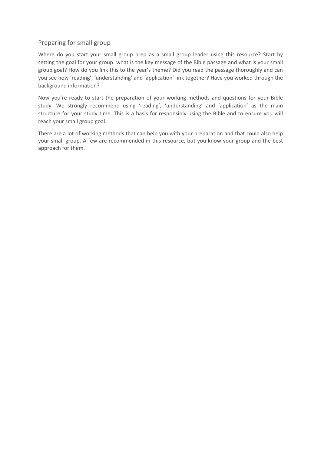# Preparing for small group

Where do you start your small group prep as a small group leader using this resource? Start by setting the goal for your group: what is the key message of the Bible passage and what is your small group goal? How do you link this to the year's theme? Did you read the passage thoroughly and can you see how 'reading', 'understanding' and 'application' link together? Have you worked through the background information?

Now you're ready to start the preparation of your working methods and questions for your Bible study. We strongly recommend using 'reading', 'understanding' and 'application' as the main structure for your study time. This is a basis for responsibly using the Bible and to ensure you will reach your small group goal.

There are a lot of working methods that can help you with your preparation and that could also help your small group. A few are recommended in this resource, but you know your group and the best approach for them.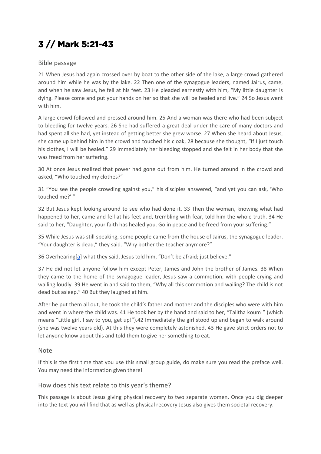# 3 // Mark 5:21-43

# Bible passage

21 When Jesus had again crossed over by boat to the other side of the lake, a large crowd gathered around him while he was by the lake. 22 Then one of the synagogue leaders, named Jairus, came, and when he saw Jesus, he fell at his feet. 23 He pleaded earnestly with him, "My little daughter is dying. Please come and put your hands on her so that she will be healed and live." 24 So Jesus went with him.

A large crowd followed and pressed around him. 25 And a woman was there who had been subject to bleeding for twelve years. 26 She had suffered a great deal under the care of many doctors and had spent all she had, yet instead of getting better she grew worse. 27 When she heard about Jesus, she came up behind him in the crowd and touched his cloak, 28 because she thought, "If I just touch his clothes, I will be healed." 29 Immediately her bleeding stopped and she felt in her body that she was freed from her suffering.

30 At once Jesus realized that power had gone out from him. He turned around in the crowd and asked, "Who touched my clothes?"

31 "You see the people crowding against you," his disciples answered, "and yet you can ask, 'Who touched me?' "

32 But Jesus kept looking around to see who had done it. 33 Then the woman, knowing what had happened to her, came and fell at his feet and, trembling with fear, told him the whole truth. 34 He said to her, "Daughter, your faith has healed you. Go in peace and be freed from your suffering."

35 While Jesus was still speaking, some people came from the house of Jairus, the synagogue leader. "Your daughter is dead," they said. "Why bother the teacher anymore?"

36 Overhearing[a] what they said, Jesus told him, "Don't be afraid; just believe."

37 He did not let anyone follow him except Peter, James and John the brother of James. 38 When they came to the home of the synagogue leader, Jesus saw a commotion, with people crying and wailing loudly. 39 He went in and said to them, "Why all this commotion and wailing? The child is not dead but asleep." 40 But they laughed at him.

After he put them all out, he took the child's father and mother and the disciples who were with him and went in where the child was. 41 He took her by the hand and said to her, "Talitha koum!" (which means "Little girl, I say to you, get up!").42 Immediately the girl stood up and began to walk around (she was twelve years old). At this they were completely astonished. 43 He gave strict orders not to let anyone know about this and told them to give her something to eat.

# Note

If this is the first time that you use this small group guide, do make sure you read the preface well. You may need the information given there!

#### How does this text relate to this year's theme?

This passage is about Jesus giving physical recovery to two separate women. Once you dig deeper into the text you will find that as well as physical recovery Jesus also gives them societal recovery.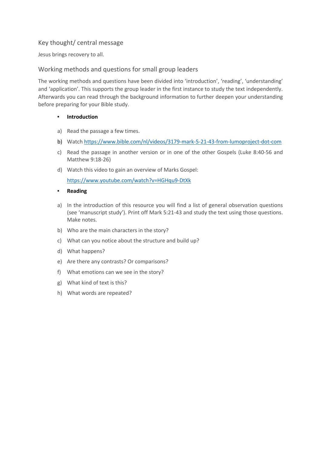# Key thought/ central message

Jesus brings recovery to all.

# Working methods and questions for small group leaders

The working methods and questions have been divided into 'introduction', 'reading', 'understanding' and 'application'. This supports the group leader in the first instance to study the text independently. Afterwards you can read through the background information to further deepen your understanding before preparing for your Bible study.

#### ▪ **Introduction**

- a) Read the passage a few times.
- b) Watch https://www.bible.com/nl/videos/3179-mark-5-21-43-from-lumoproject-dot-com
- c) Read the passage in another version or in one of the other Gospels (Luke 8:40-56 and Matthew 9:18-26)
- d) Watch this video to gain an overview of Marks Gospel:

https://www.youtube.com/watch?v=HGHqu9-DtXk

- **Reading**
- a) In the introduction of this resource you will find a list of general observation questions (see 'manuscript study'). Print off Mark 5:21-43 and study the text using those questions. Make notes.
- b) Who are the main characters in the story?
- c) What can you notice about the structure and build up?
- d) What happens?
- e) Are there any contrasts? Or comparisons?
- f) What emotions can we see in the story?
- g) What kind of text is this?
- h) What words are repeated?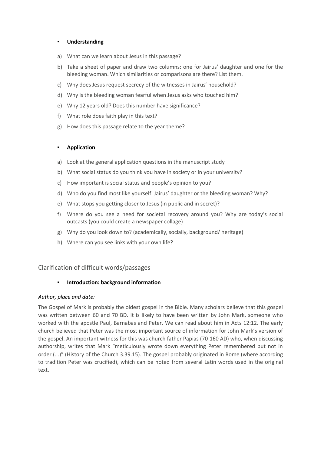#### ▪ **Understanding**

- a) What can we learn about Jesus in this passage?
- b) Take a sheet of paper and draw two columns: one for Jairus' daughter and one for the bleeding woman. Which similarities or comparisons are there? List them.
- c) Why does Jesus request secrecy of the witnesses in Jairus' household?
- d) Why is the bleeding woman fearful when Jesus asks who touched him?
- e) Why 12 years old? Does this number have significance?
- f) What role does faith play in this text?
- g) How does this passage relate to the year theme?

#### ▪ **Application**

- a) Look at the general application questions in the manuscript study
- b) What social status do you think you have in society or in your university?
- c) How important is social status and people's opinion to you?
- d) Who do you find most like yourself: Jairus' daughter or the bleeding woman? Why?
- e) What stops you getting closer to Jesus (in public and in secret)?
- f) Where do you see a need for societal recovery around you? Why are today's social outcasts (you could create a newspaper collage)
- g) Why do you look down to? (academically, socially, background/ heritage)
- h) Where can you see links with your own life?

# Clarification of difficult words/passages

#### ▪ **Introduction: background information**

#### *Author, place and date:*

The Gospel of Mark is probably the oldest gospel in the Bible. Many scholars believe that this gospel was written between 60 and 70 BD. It is likely to have been written by John Mark, someone who worked with the apostle Paul, Barnabas and Peter. We can read about him in Acts 12:12. The early church believed that Peter was the most important source of information for John Mark's version of the gospel. An important witness for this was church father Papias (70-160 AD) who, when discussing authorship, writes that Mark "meticulously wrote down everything Peter remembered but not in order (...)" (History of the Church 3.39.15). The gospel probably originated in Rome (where according to tradition Peter was crucified), which can be noted from several Latin words used in the original text.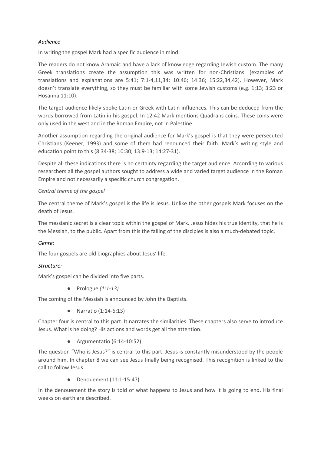#### *Audience*

In writing the gospel Mark had a specific audience in mind.

The readers do not know Aramaic and have a lack of knowledge regarding Jewish custom. The many Greek translations create the assumption this was written for non-Christians. (examples of translations and explanations are 5:41; 7:1-4,11,34: 10:46; 14:36; 15:22,34,42). However, Mark doesn't translate everything, so they must be familiar with some Jewish customs (e.g. 1:13; 3:23 or Hosanna 11:10).

The target audience likely spoke Latin or Greek with Latin influences. This can be deduced from the words borrowed from Latin in his gospel. In 12:42 Mark mentions Quadrans coins. These coins were only used in the west and in the Roman Empire, not in Palestine.

Another assumption regarding the original audience for Mark's gospel is that they were persecuted Christians (Keener, 1993) and some of them had renounced their faith. Mark's writing style and education point to this (8:34-38; 10:30; 13:9-13; 14:27-31).

Despite all these indications there is no certainty regarding the target audience. According to various researchers all the gospel authors sought to address a wide and varied target audience in the Roman Empire and not necessarily a specific church congregation.

#### *Central theme of the gospel*

The central theme of Mark's gospel is the life is Jesus. Unlike the other gospels Mark focuses on the death of Jesus.

The messianic secret is a clear topic within the gospel of Mark. Jesus hides his true identity, that he is the Messiah, to the public. Apart from this the failing of the disciples is also a much-debated topic.

#### *Genre:*

The four gospels are old biographies about Jesus' life.

#### *Structure:*

Mark's gospel can be divided into five parts.

● Prologue *(1:1-13)*

The coming of the Messiah is announced by John the Baptists.

● Narratio (1:14-6:13)

Chapter four is central to this part. It narrates the similarities. These chapters also serve to introduce Jesus. What is he doing? His actions and words get all the attention.

● Argumentatio (6:14-10:52)

The question "Who is Jesus?" is central to this part. Jesus is constantly misunderstood by the people around him. In chapter 8 we can see Jesus finally being recognised. This recognition is linked to the call to follow Jesus.

Denouement (11:1-15:47)

In the denouement the story is told of what happens to Jesus and how it is going to end. His final weeks on earth are described.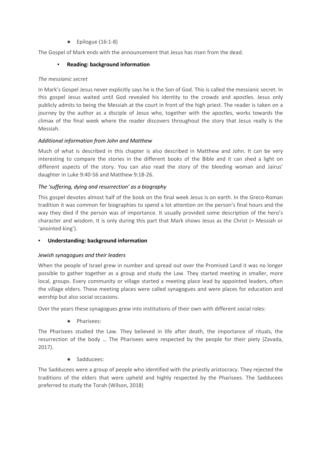$\bullet$  Epilogue (16:1-8)

The Gospel of Mark ends with the announcement that Jesus has risen from the dead.

### ▪ **Reading: background information**

#### *The messianic secret*

In Mark's Gospel Jesus never explicitly says he is the Son of God. This is called the messianic secret. In this gospel Jesus waited until God revealed his identity to the crowds and apostles. Jesus only publicly admits to being the Messiah at the court in front of the high priest. The reader is taken on a journey by the author as a disciple of Jesus who, together with the apostles, works towards the climax of the final week where the reader discovers throughout the story that Jesus really is the Messiah.

#### *Additional information from John and Matthew*

Much of what is described in this chapter is also described in Matthew and John. It can be very interesting to compare the stories in the different books of the Bible and it can shed a light on different aspects of the story. You can also read the story of the bleeding woman and Jairus' daughter in Luke 9:40-56 and Matthew 9:18-26.

#### *The 'suffering, dying and resurrection' as a biography*

This gospel devotes almost half of the book on the final week Jesus is on earth. In the Greco-Roman tradition it was common for biographies to spend a lot attention on the person's final hours and the way they died if the person was of importance. It usually provided some description of the hero's character and wisdom. It is only during this part that Mark shows Jesus as the Christ (= Messiah or 'anointed king').

#### **Understanding: background information**

#### *Jewish synagogues and their leaders*

When the people of Israel grew in number and spread out over the Promised Land it was no longer possible to gather together as a group and study the Law. They started meeting in smaller, more local, groups. Every community or village started a meeting place lead by appointed leaders, often the village elders. These meeting places were called synagogues and were places for education and worship but also social occasions.

Over the years these synagogues grew into institutions of their own with different social roles:

● Pharisees:

The Pharisees studied the Law. They believed in life after death, the importance of rituals, the resurrection of the body … The Pharisees were respected by the people for their piety (Zavada, 2017).

● Sadducees:

The Sadducees were a group of people who identified with the priestly aristocracy. They rejected the traditions of the elders that were upheld and highly respected by the Pharisees. The Sadducees preferred to study the Torah (Wilson, 2018)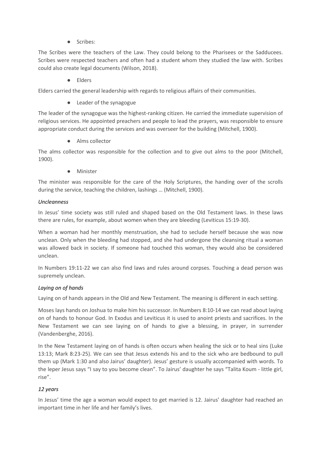Scribes:

The Scribes were the teachers of the Law. They could belong to the Pharisees or the Sadducees. Scribes were respected teachers and often had a student whom they studied the law with. Scribes could also create legal documents (Wilson, 2018).

● Elders

Elders carried the general leadership with regards to religious affairs of their communities.

● Leader of the synagogue

The leader of the synagogue was the highest-ranking citizen. He carried the immediate supervision of religious services. He appointed preachers and people to lead the prayers, was responsible to ensure appropriate conduct during the services and was overseer for the building (Mitchell, 1900).

● Alms collector

The alms collector was responsible for the collection and to give out alms to the poor (Mitchell, 1900).

**Minister** 

The minister was responsible for the care of the Holy Scriptures, the handing over of the scrolls during the service, teaching the children, lashings … (Mitchell, 1900).

#### *Uncleanness*

In Jesus' time society was still ruled and shaped based on the Old Testament laws. In these laws there are rules, for example, about women when they are bleeding (Leviticus 15:19-30).

When a woman had her monthly menstruation, she had to seclude herself because she was now unclean. Only when the bleeding had stopped, and she had undergone the cleansing ritual a woman was allowed back in society. If someone had touched this woman, they would also be considered unclean.

In Numbers 19:11-22 we can also find laws and rules around corpses. Touching a dead person was supremely unclean.

#### *Laying on of hands*

Laying on of hands appears in the Old and New Testament. The meaning is different in each setting.

Moses lays hands on Joshua to make him his successor. In Numbers 8:10-14 we can read about laying on of hands to honour God. In Exodus and Leviticus it is used to anoint priests and sacrifices. In the New Testament we can see laying on of hands to give a blessing, in prayer, in surrender (Vandenberghe, 2016).

In the New Testament laying on of hands is often occurs when healing the sick or to heal sins (Luke 13:13; Mark 8:23-25). We can see that Jesus extends his and to the sick who are bedbound to pull them up (Mark 1:30 and also Jairus' daughter). Jesus' gesture is usually accompanied with words. To the leper Jesus says "I say to you become clean". To Jairus' daughter he says "Talita Koum - little girl, rise".

#### *12 years*

In Jesus' time the age a woman would expect to get married is 12. Jairus' daughter had reached an important time in her life and her family's lives.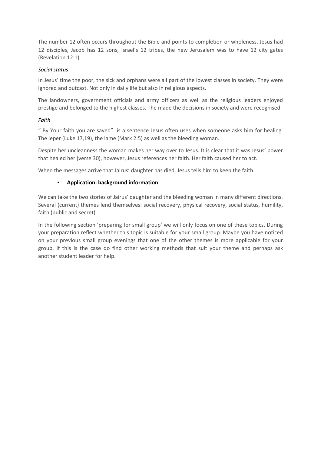The number 12 often occurs throughout the Bible and points to completion or wholeness. Jesus had 12 disciples, Jacob has 12 sons, Israel's 12 tribes, the new Jerusalem was to have 12 city gates (Revelation 12:1).

#### *Social status*

In Jesus' time the poor, the sick and orphans were all part of the lowest classes in society. They were ignored and outcast. Not only in daily life but also in religious aspects.

The landowners, government officials and army officers as well as the religious leaders enjoyed prestige and belonged to the highest classes. The made the decisions in society and were recognised.

# *Faith*

" By Your faith you are saved" is a sentence Jesus often uses when someone asks him for healing. The leper (Luke 17,19), the lame (Mark 2:5) as well as the bleeding woman.

Despite her uncleanness the woman makes her way over to Jesus. It is clear that it was Jesus' power that healed her (verse 30), however, Jesus references her faith. Her faith caused her to act.

When the messages arrive that Jairus' daughter has died, Jesus tells him to keep the faith.

# ▪ **Application: background information**

We can take the two stories of Jairus' daughter and the bleeding woman in many different directions. Several (current) themes lend themselves: social recovery, physical recovery, social status, humility, faith (public and secret).

In the following section 'preparing for small group' we will only focus on one of these topics. During your preparation reflect whether this topic is suitable for your small group. Maybe you have noticed on your previous small group evenings that one of the other themes is more applicable for your group. If this is the case do find other working methods that suit your theme and perhaps ask another student leader for help.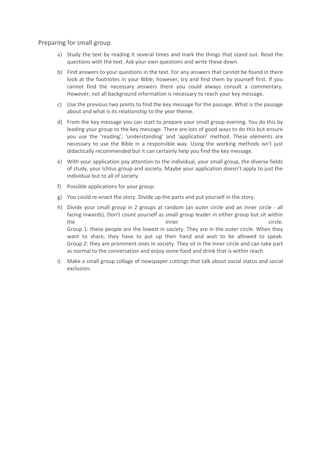### Preparing for small group

- a) Study the text by reading it several times and mark the things that stand out. Read the questions with the text. Ask your own questions and write these down.
- b) Find answers to your questions in the text. For any answers that cannot be found in there look at the footnotes in your Bible, however, try and find them by yourself first. If you cannot find the necessary answers there you could always consult a commentary. However, not all background information is necessary to reach your key message.
- c) Use the previous two points to find the key message for the passage. What is the passage about and what is its relationship to the year theme.
- d) From the key message you can start to prepare your small group evening. You do this by leading your group to the key message. There are lots of good ways to do this but ensure you use the 'reading', 'understanding' and 'application' method. These elements are necessary to use the Bible in a responsible way. Using the working methods isn't just didactically recommended but it can certainly help you find the key message.
- e) With your application pay attention to the individual, your small group, the diverse fields of study, your Ichtus group and society. Maybe your application doesn't apply to just the individual but to all of society.
- f) Possible applications for your group:
- g) You could re-enact the story. Divide up the parts and put yourself in the story.
- h) Divide your small group in 2 groups at random (an outer circle and an inner circle all facing inwards). Don't count yourself as small group leader in either group but sit within the inner the circle. Group 1: these people are the lowest in society. They are in the outer circle. When they want to share, they have to put up their hand and wait to be allowed to speak. Group 2: they are prominent ones in society. They sit in the inner circle and can take part as normal to the conversation and enjoy some food and drink that is within reach.
- i) Make a small group collage of newspaper cuttings that talk about social status and social exclusion.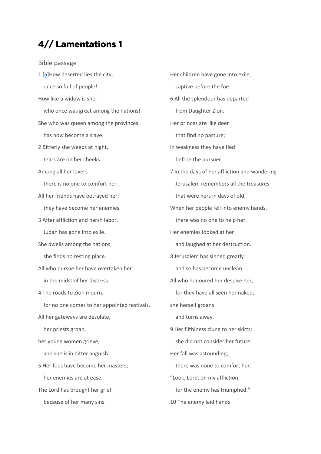# 4// Lamentations 1

Bible passage

- 1 [a]How deserted lies the city, once so full of people! How like a widow is she, who once was great among the nations! She who was queen among the provinces has now become a slave. 2 Bitterly she weeps at night, tears are on her cheeks. Among all her lovers there is no one to comfort her. All her friends have betrayed her; they have become her enemies. 3 After affliction and harsh labor, Judah has gone into exile. She dwells among the nations; she finds no resting place. All who pursue her have overtaken her in the midst of her distress. 4 The roads to Zion mourn, for no one comes to her appointed festivals. All her gateways are desolate, her priests groan, her young women grieve, and she is in bitter anguish. 5 Her foes have become her masters; her enemies are at ease. The Lord has brought her grief because of her many sins.
- Her children have gone into exile, captive before the foe. 6 All the splendour has departed from Daughter Zion. Her princes are like deer that find no pasture; in weakness they have fled before the pursuer. 7 In the days of her affliction and wandering Jerusalem remembers all the treasures that were hers in days of old. When her people fell into enemy hands, there was no one to help her. Her enemies looked at her and laughed at her destruction. 8 Jerusalem has sinned greatly and so has become unclean. All who honoured her despise her, for they have all seen her naked; she herself groans and turns away. 9 Her filthiness clung to her skirts; she did not consider her future. Her fall was astounding; there was none to comfort her. "Look, Lord, on my affliction, for the enemy has triumphed." 10 The enemy laid hands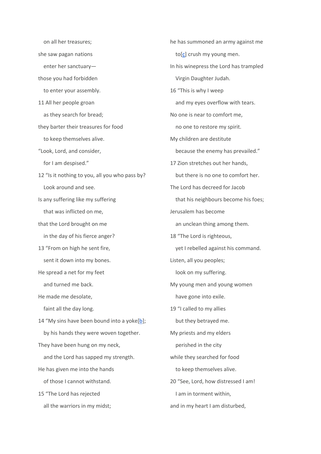on all her treasures; she saw pagan nations enter her sanctuary those you had forbidden to enter your assembly. 11 All her people groan as they search for bread; they barter their treasures for food to keep themselves alive. "Look, Lord, and consider, for I am despised." 12 "Is it nothing to you, all you who pass by? Look around and see. Is any suffering like my suffering that was inflicted on me, that the Lord brought on me in the day of his fierce anger? 13 "From on high he sent fire, sent it down into my bones. He spread a net for my feet and turned me back. He made me desolate, faint all the day long. 14 "My sins have been bound into a yoke[b]; by his hands they were woven together. They have been hung on my neck, and the Lord has sapped my strength. He has given me into the hands of those I cannot withstand. 15 "The Lord has rejected all the warriors in my midst;

he has summoned an army against me  $to[c]$  crush my young men. In his winepress the Lord has trampled Virgin Daughter Judah. 16 "This is why I weep and my eyes overflow with tears. No one is near to comfort me, no one to restore my spirit. My children are destitute because the enemy has prevailed." 17 Zion stretches out her hands, but there is no one to comfort her. The Lord has decreed for Jacob that his neighbours become his foes; Jerusalem has become an unclean thing among them. 18 "The Lord is righteous, yet I rebelled against his command. Listen, all you peoples; look on my suffering. My young men and young women have gone into exile. 19 "I called to my allies but they betrayed me. My priests and my elders perished in the city while they searched for food to keep themselves alive. 20 "See, Lord, how distressed I am! I am in torment within, and in my heart I am disturbed,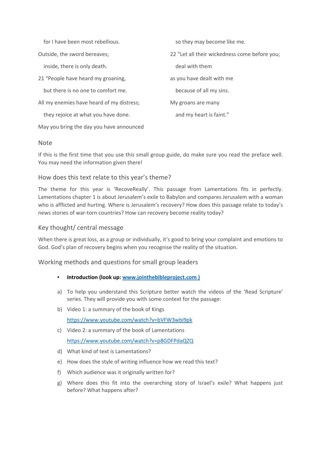for I have been most rebellious.

Outside, the sword bereaves;

inside, there is only death.

21 "People have heard my groaning,

but there is no one to comfort me.

All my enemies have heard of my distress;

they rejoice at what you have done.

May you bring the day you have announced

#### Note

If this is the first time that you use this small group guide, do make sure you read the preface well. You may need the information given there!

# How does this text relate to this year's theme?

The theme for this year is 'RecoveReally'. This passage from Lamentations fits in perfectly. Lamentations chapter 1 is about Jerusalem's exile to Babylon and compares Jerusalem with a woman who is afflicted and hurting. Where is Jerusalem's recovery? How does this passage relate to today's news stories of war-torn countries? How can recovery become reality today?

### Key thought/ central message

When there is great loss, as a group or individually, it's good to bring your complaint and emotions to God. God's plan of recovery begins when you recognise the reality of the situation.

Working methods and questions for small group leaders

- **Introduction (look up: www.jointhebibleproject.com )**
- a) To help you understand this Scripture better watch the videos of the 'Read Scripture' series. They will provide you with some context for the passage:
- b) Video 1: a summary of the book of Kings

https://www.youtube.com/watch?v=bVFW3wbi9pk

c) Video 2: a summary of the book of Lamentations

https://www.youtube.com/watch?v=p8GDFPdaQZQ

- d) What kind of text is Lamentations?
- e) How does the style of writing influence how we read this text?
- f) Which audience was it originally written for?
- g) Where does this fit into the overarching story of Israel's exile? What happens just before? What happens after?

so they may become like me.

22 "Let all their wickedness come before you;

deal with them

as you have dealt with me

because of all my sins.

My groans are many

and my heart is faint."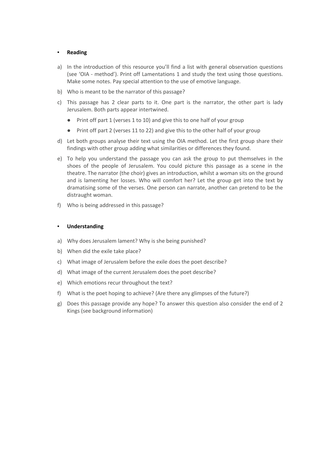#### ▪ **Reading**

- a) In the introduction of this resource you'll find a list with general observation questions (see 'OIA - method'). Print off Lamentations 1 and study the text using those questions. Make some notes. Pay special attention to the use of emotive language.
- b) Who is meant to be the narrator of this passage?
- c) This passage has 2 clear parts to it. One part is the narrator, the other part is lady Jerusalem. Both parts appear intertwined.
	- Print off part 1 (verses 1 to 10) and give this to one half of your group
	- Print off part 2 (verses 11 to 22) and give this to the other half of your group
- d) Let both groups analyse their text using the OIA method. Let the first group share their findings with other group adding what similarities or differences they found.
- e) To help you understand the passage you can ask the group to put themselves in the shoes of the people of Jerusalem. You could picture this passage as a scene in the theatre. The narrator (the choir) gives an introduction, whilst a woman sits on the ground and is lamenting her losses. Who will comfort her? Let the group get into the text by dramatising some of the verses. One person can narrate, another can pretend to be the distraught woman.
- f) Who is being addressed in this passage?

#### ▪ **Understanding**

- a) Why does Jerusalem lament? Why is she being punished?
- b) When did the exile take place?
- c) What image of Jerusalem before the exile does the poet describe?
- d) What image of the current Jerusalem does the poet describe?
- e) Which emotions recur throughout the text?
- f) What is the poet hoping to achieve? (Are there any glimpses of the future?)
- g) Does this passage provide any hope? To answer this question also consider the end of 2 Kings (see background information)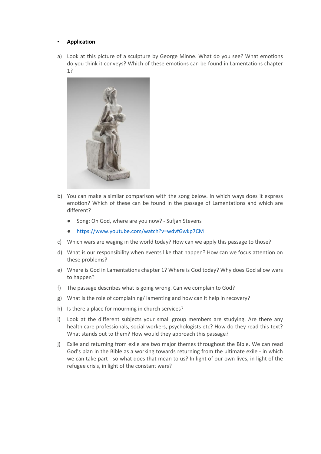#### **Application**

a) Look at this picture of a sculpture by George Minne. What do you see? What emotions do you think it conveys? Which of these emotions can be found in Lamentations chapter 1?



- b) You can make a similar comparison with the song below. In which ways does it express emotion? Which of these can be found in the passage of Lamentations and which are different?
	- Song: Oh God, where are you now? Sufjan Stevens
	- https://www.youtube.com/watch?v=wdvfGwkp7CM
- c) Which wars are waging in the world today? How can we apply this passage to those?
- d) What is our responsibility when events like that happen? How can we focus attention on these problems?
- e) Where is God in Lamentations chapter 1? Where is God today? Why does God allow wars to happen?
- f) The passage describes what is going wrong. Can we complain to God?
- g) What is the role of complaining/ lamenting and how can it help in recovery?
- h) Is there a place for mourning in church services?
- i) Look at the different subjects your small group members are studying. Are there any health care professionals, social workers, psychologists etc? How do they read this text? What stands out to them? How would they approach this passage?
- j) Exile and returning from exile are two major themes throughout the Bible. We can read God's plan in the Bible as a working towards returning from the ultimate exile - in which we can take part - so what does that mean to us? In light of our own lives, in light of the refugee crisis, in light of the constant wars?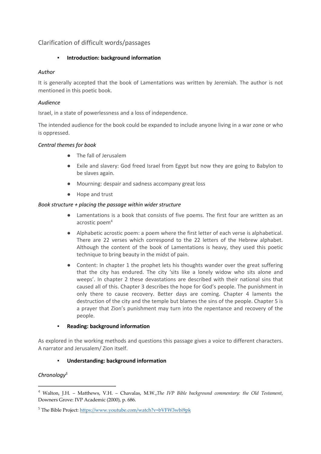# Clarification of difficult words/passages

#### ▪ **Introduction: background information**

# *Author*

It is generally accepted that the book of Lamentations was written by Jeremiah. The author is not mentioned in this poetic book.

# *Audience*

Israel, in a state of powerlessness and a loss of independence.

The intended audience for the book could be expanded to include anyone living in a war zone or who is oppressed.

# *Central themes for book*

- The fall of Jerusalem
- Exile and slavery: God freed Israel from Egypt but now they are going to Babylon to be slaves again.
- Mourning: despair and sadness accompany great loss
- Hope and trust

# *Book structure + placing the passage within wider structure*

- Lamentations is a book that consists of five poems. The first four are written as an acrostic poem<sup>4</sup>
- Alphabetic acrostic poem: a poem where the first letter of each verse is alphabetical. There are 22 verses which correspond to the 22 letters of the Hebrew alphabet. Although the content of the book of Lamentations is heavy, they used this poetic technique to bring beauty in the midst of pain.
- Content: In chapter 1 the prophet lets his thoughts wander over the great suffering that the city has endured. The city 'sits like a lonely widow who sits alone and weeps'. In chapter 2 these devastations are described with their national sins that caused all of this. Chapter 3 describes the hope for God's people. The punishment in only there to cause recovery. Better days are coming. Chapter 4 laments the destruction of the city and the temple but blames the sins of the people. Chapter 5 is a prayer that Zion's punishment may turn into the repentance and recovery of the people.

#### **Reading: background information**

As explored in the working methods and questions this passage gives a voice to different characters. A narrator and Jerusalem/ Zion itself.

# ▪ **Understanding: background information**

# *Chronology5*

 <sup>4</sup> Walton, J.H. – Matthews, V.H. – Chavalas, M.W.,*The IVP Bible background commentary: the Old Testament*, Downers Grove: IVP Academic (2000), p. 686.

<sup>5</sup> The Bible Project: https://www.youtube.com/watch?v=bVFW3wbi9pk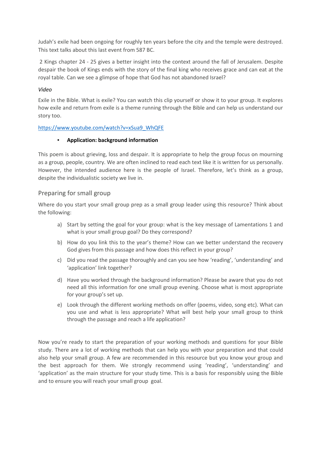Judah's exile had been ongoing for roughly ten years before the city and the temple were destroyed. This text talks about this last event from 587 BC.

2 Kings chapter 24 - 25 gives a better insight into the context around the fall of Jerusalem. Despite despair the book of Kings ends with the story of the final king who receives grace and can eat at the royal table. Can we see a glimpse of hope that God has not abandoned Israel?

#### *Video*

Exile in the Bible. What is exile? You can watch this clip yourself or show it to your group. It explores how exile and return from exile is a theme running through the Bible and can help us understand our story too.

#### https://www.youtube.com/watch?v=xSua9\_WhQFE

#### ▪ **Application: background information**

This poem is about grieving, loss and despair. It is appropriate to help the group focus on mourning as a group, people, country. We are often inclined to read each text like it is written for us personally. However, the intended audience here is the people of Israel. Therefore, let's think as a group, despite the individualistic society we live in.

# Preparing for small group

Where do you start your small group prep as a small group leader using this resource? Think about the following:

- a) Start by setting the goal for your group: what is the key message of Lamentations 1 and what is your small group goal? Do they correspond?
- b) How do you link this to the year's theme? How can we better understand the recovery God gives from this passage and how does this reflect in your group?
- c) Did you read the passage thoroughly and can you see how 'reading', 'understanding' and 'application' link together?
- d) Have you worked through the background information? Please be aware that you do not need all this information for one small group evening. Choose what is most appropriate for your group's set up.
- e) Look through the different working methods on offer (poems, video, song etc). What can you use and what is less appropriate? What will best help your small group to think through the passage and reach a life application?

Now you're ready to start the preparation of your working methods and questions for your Bible study. There are a lot of working methods that can help you with your preparation and that could also help your small group. A few are recommended in this resource but you know your group and the best approach for them. We strongly recommend using 'reading', 'understanding' and 'application' as the main structure for your study time. This is a basis for responsibly using the Bible and to ensure you will reach your small group goal.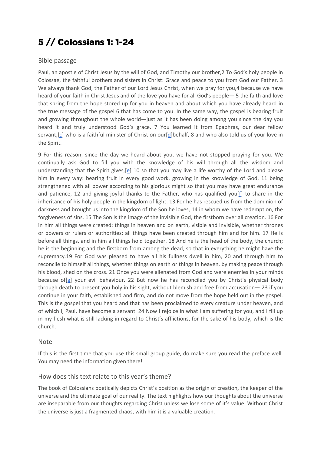# 5 // Colossians 1: 1-24

# Bible passage

Paul, an apostle of Christ Jesus by the will of God, and Timothy our brother,2 To God's holy people in Colossae, the faithful brothers and sisters in Christ: Grace and peace to you from God our Father. 3 We always thank God, the Father of our Lord Jesus Christ, when we pray for you,4 because we have heard of your faith in Christ Jesus and of the love you have for all God's people— 5 the faith and love that spring from the hope stored up for you in heaven and about which you have already heard in the true message of the gospel 6 that has come to you. In the same way, the gospel is bearing fruit and growing throughout the whole world—just as it has been doing among you since the day you heard it and truly understood God's grace. 7 You learned it from Epaphras, our dear fellow servant, [c] who is a faithful minister of Christ on our [d]behalf, 8 and who also told us of your love in the Spirit.

9 For this reason, since the day we heard about you, we have not stopped praying for you. We continually ask God to fill you with the knowledge of his will through all the wisdom and understanding that the Spirit gives,[e] 10 so that you may live a life worthy of the Lord and please him in every way: bearing fruit in every good work, growing in the knowledge of God, 11 being strengthened with all power according to his glorious might so that you may have great endurance and patience, 12 and giving joyful thanks to the Father, who has qualified you[f] to share in the inheritance of his holy people in the kingdom of light. 13 For he has rescued us from the dominion of darkness and brought us into the kingdom of the Son he loves, 14 in whom we have redemption, the forgiveness of sins. 15 The Son is the image of the invisible God, the firstborn over all creation. 16 For in him all things were created: things in heaven and on earth, visible and invisible, whether thrones or powers or rulers or authorities; all things have been created through him and for him. 17 He is before all things, and in him all things hold together. 18 And he is the head of the body, the church; he is the beginning and the firstborn from among the dead, so that in everything he might have the supremacy.19 For God was pleased to have all his fullness dwell in him, 20 and through him to reconcile to himself all things, whether things on earth or things in heaven, by making peace through his blood, shed on the cross. 21 Once you were alienated from God and were enemies in your minds because of[g] your evil behaviour. 22 But now he has reconciled you by Christ's physical body through death to present you holy in his sight, without blemish and free from accusation— 23 if you continue in your faith, established and firm, and do not move from the hope held out in the gospel. This is the gospel that you heard and that has been proclaimed to every creature under heaven, and of which I, Paul, have become a servant. 24 Now I rejoice in what I am suffering for you, and I fill up in my flesh what is still lacking in regard to Christ's afflictions, for the sake of his body, which is the church.

#### Note

If this is the first time that you use this small group guide, do make sure you read the preface well. You may need the information given there!

# How does this text relate to this year's theme?

The book of Colossians poetically depicts Christ's position as the origin of creation, the keeper of the universe and the ultimate goal of our reality. The text highlights how our thoughts about the universe are inseparable from our thoughts regarding Christ unless we lose some of it's value. Without Christ the universe is just a fragmented chaos, with him it is a valuable creation.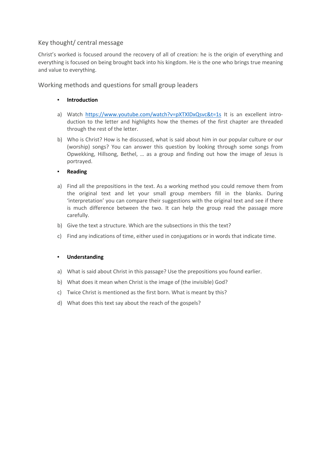# Key thought/ central message

Christ's worked is focused around the recovery of all of creation: he is the origin of everything and everything is focused on being brought back into his kingdom. He is the one who brings true meaning and value to everything.

Working methods and questions for small group leaders

### **Introduction**

- a) Watch https://www.youtube.com/watch?v=pXTXlDxQsvc&t=1s It is an excellent introduction to the letter and highlights how the themes of the first chapter are threaded through the rest of the letter.
- b) Who is Christ? How is he discussed, what is said about him in our popular culture or our (worship) songs? You can answer this question by looking through some songs from Opwekking, Hillsong, Bethel, … as a group and finding out how the image of Jesus is portrayed.

#### ▪ **Reading**

- a) Find all the prepositions in the text. As a working method you could remove them from the original text and let your small group members fill in the blanks. During 'interpretation' you can compare their suggestions with the original text and see if there is much difference between the two. It can help the group read the passage more carefully.
- b) Give the text a structure. Which are the subsections in this the text?
- c) Find any indications of time, either used in conjugations or in words that indicate time.

#### ▪ **Understanding**

- a) What is said about Christ in this passage? Use the prepositions you found earlier.
- b) What does it mean when Christ is the image of (the invisible) God?
- c) Twice Christ is mentioned as the first born. What is meant by this?
- d) What does this text say about the reach of the gospels?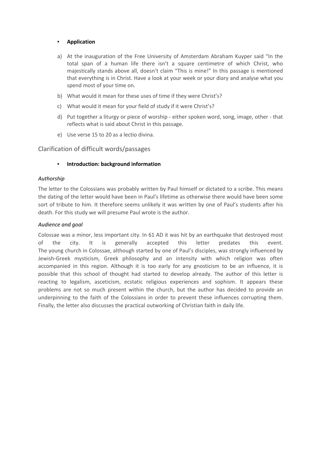#### **Application**

- a) At the inauguration of the Free University of Amsterdam Abraham Kuyper said "In the total span of a human life there isn't a square centimetre of which Christ, who majestically stands above all, doesn't claim "This is mine!" In this passage is mentioned that everything is in Christ. Have a look at your week or your diary and analyse what you spend most of your time on.
- b) What would it mean for these uses of time if they were Christ's?
- c) What would it mean for your field of study if it were Christ's?
- d) Put together a liturgy or piece of worship either spoken word, song, image, other that reflects what is said about Christ in this passage.
- e) Use verse 15 to 20 as a lectio divina.

#### Clarification of difficult words/passages

#### ▪ **Introduction: background information**

#### *Authorship*

The letter to the Colossians was probably written by Paul himself or dictated to a scribe. This means the dating of the letter would have been in Paul's lifetime as otherwise there would have been some sort of tribute to him. It therefore seems unlikely it was written by one of Paul's students after his death. For this study we will presume Paul wrote is the author.

#### *Audience and goal*

Colossae was a minor, less important city. In 61 AD it was hit by an earthquake that destroyed most of the city. It is generally accepted this letter predates this event. The young church in Colossae, although started by one of Paul's disciples, was strongly influenced by Jewish-Greek mysticism, Greek philosophy and an intensity with which religion was often accompanied in this region. Although it is too early for any gnosticism to be an influence, it is possible that this school of thought had started to develop already. The author of this letter is reacting to legalism, asceticism, ecstatic religious experiences and sophism. It appears these problems are not so much present within the church, but the author has decided to provide an underpinning to the faith of the Colossians in order to prevent these influences corrupting them. Finally, the letter also discusses the practical outworking of Christian faith in daily life.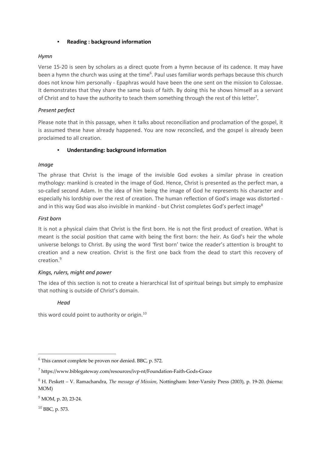#### **Reading : background information**

#### *Hymn*

Verse 15-20 is seen by scholars as a direct quote from a hymn because of its cadence. It may have been a hymn the church was using at the time<sup>6</sup>. Paul uses familiar words perhaps because this church does not know him personally - Epaphras would have been the one sent on the mission to Colossae. It demonstrates that they share the same basis of faith. By doing this he shows himself as a servant of Christ and to have the authority to teach them something through the rest of this letter<sup>7</sup>.

#### *Present perfect*

Please note that in this passage, when it talks about reconciliation and proclamation of the gospel, it is assumed these have already happened. You are now reconciled, and the gospel is already been proclaimed to all creation.

#### **Understanding: background information**

#### *Image*

The phrase that Christ is the image of the invisible God evokes a similar phrase in creation mythology: mankind is created in the image of God. Hence, Christ is presented as the perfect man, a so-called second Adam. In the idea of him being the image of God he represents his character and especially his lordship over the rest of creation. The human reflection of God's image was distorted and in this way God was also invisible in mankind - but Christ completes God's perfect image<sup>8</sup>

#### *First born*

It is not a physical claim that Christ is the first born. He is not the first product of creation. What is meant is the social position that came with being the first born: the heir. As God's heir the whole universe belongs to Christ. By using the word 'first born' twice the reader's attention is brought to creation and a new creation. Christ is the first one back from the dead to start this recovery of creation.9

#### *Kings, rulers, might and power*

The idea of this section is not to create a hierarchical list of spiritual beings but simply to emphasize that nothing is outside of Christ's domain.

#### *Head*

this word could point to authority or origin.<sup>10</sup>

<sup>10</sup> BBC, p. 573.

 <sup>6</sup> This cannot complete be proven nor denied. BBC, p. 572.

<sup>7</sup> https://www.biblegateway.com/resources/ivp-nt/Foundation-Faith-Gods-Grace

<sup>8</sup> H. Peskett – V. Ramachandra, *The message of Mission*, Nottingham: Inter-Varsity Press (2003), p. 19-20. (hierna: MOM)

<sup>&</sup>lt;sup>9</sup> MOM, p. 20, 23-24.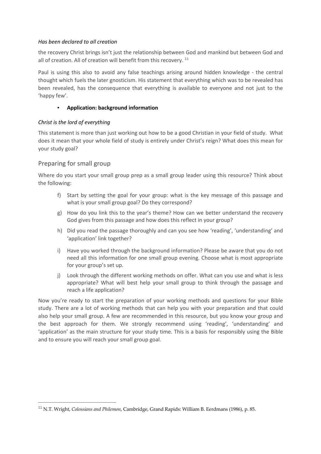#### *Has been declared to all creation*

the recovery Christ brings isn't just the relationship between God and mankind but between God and all of creation. All of creation will benefit from this recovery. <sup>11</sup>

Paul is using this also to avoid any false teachings arising around hidden knowledge - the central thought which fuels the later gnosticism. His statement that everything which was to be revealed has been revealed, has the consequence that everything is available to everyone and not just to the 'happy few'.

#### ▪ **Application: background information**

#### *Christ is the lord of everything*

This statement is more than just working out how to be a good Christian in your field of study. What does it mean that your whole field of study is entirely under Christ's reign? What does this mean for your study goal?

# Preparing for small group

Where do you start your small group prep as a small group leader using this resource? Think about the following:

- f) Start by setting the goal for your group: what is the key message of this passage and what is your small group goal? Do they correspond?
- g) How do you link this to the year's theme? How can we better understand the recovery God gives from this passage and how does this reflect in your group?
- h) Did you read the passage thoroughly and can you see how 'reading', 'understanding' and 'application' link together?
- i) Have you worked through the background information? Please be aware that you do not need all this information for one small group evening. Choose what is most appropriate for your group's set up.
- j) Look through the different working methods on offer. What can you use and what is less appropriate? What will best help your small group to think through the passage and reach a life application?

Now you're ready to start the preparation of your working methods and questions for your Bible study. There are a lot of working methods that can help you with your preparation and that could also help your small group. A few are recommended in this resource, but you know your group and the best approach for them. We strongly recommend using 'reading', 'understanding' and 'application' as the main structure for your study time. This is a basis for responsibly using the Bible and to ensure you will reach your small group goal.

 <sup>11</sup> N.T. Wright, *Colossians and Philemon*, Cambridge, Grand Rapids: William B. Eerdmans (1986), p. 85.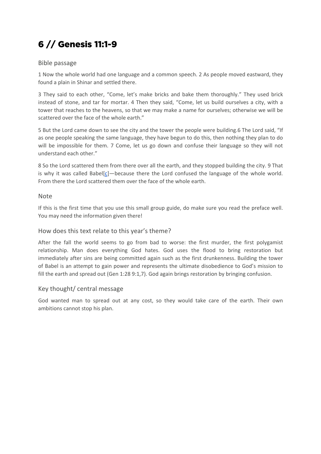# 6 // Genesis 11:1-9

# Bible passage

1 Now the whole world had one language and a common speech. 2 As people moved eastward, they found a plain in Shinar and settled there.

3 They said to each other, "Come, let's make bricks and bake them thoroughly." They used brick instead of stone, and tar for mortar. 4 Then they said, "Come, let us build ourselves a city, with a tower that reaches to the heavens, so that we may make a name for ourselves; otherwise we will be scattered over the face of the whole earth."

5 But the Lord came down to see the city and the tower the people were building.6 The Lord said, "If as one people speaking the same language, they have begun to do this, then nothing they plan to do will be impossible for them. 7 Come, let us go down and confuse their language so they will not understand each other."

8 So the Lord scattered them from there over all the earth, and they stopped building the city. 9 That is why it was called Babel $[c]$ —because there the Lord confused the language of the whole world. From there the Lord scattered them over the face of the whole earth.

# Note

If this is the first time that you use this small group guide, do make sure you read the preface well. You may need the information given there!

# How does this text relate to this year's theme?

After the fall the world seems to go from bad to worse: the first murder, the first polygamist relationship. Man does everything God hates. God uses the flood to bring restoration but immediately after sins are being committed again such as the first drunkenness. Building the tower of Babel is an attempt to gain power and represents the ultimate disobedience to God's mission to fill the earth and spread out (Gen 1:28 9:1,7). God again brings restoration by bringing confusion.

# Key thought/ central message

God wanted man to spread out at any cost, so they would take care of the earth. Their own ambitions cannot stop his plan.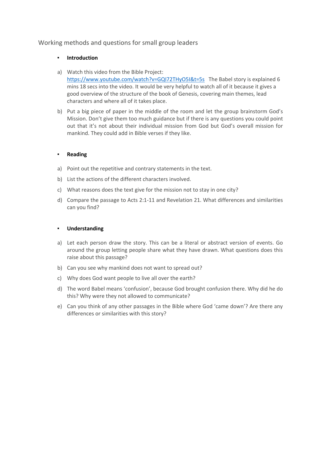# Working methods and questions for small group leaders

#### **Introduction**

- a) Watch this video from the Bible Project: https://www.youtube.com/watch?v=GQI72THyO5I&t=5s The Babel story is explained 6 mins 18 secs into the video. It would be very helpful to watch all of it because it gives a good overview of the structure of the book of Genesis, covering main themes, lead characters and where all of it takes place.
- b) Put a big piece of paper in the middle of the room and let the group brainstorm God's Mission. Don't give them too much guidance but if there is any questions you could point out that it's not about their individual mission from God but God's overall mission for mankind. They could add in Bible verses if they like.

#### ▪ **Reading**

- a) Point out the repetitive and contrary statements in the text.
- b) List the actions of the different characters involved.
- c) What reasons does the text give for the mission not to stay in one city?
- d) Compare the passage to Acts 2:1-11 and Revelation 21. What differences and similarities can you find?

#### ▪ **Understanding**

- a) Let each person draw the story. This can be a literal or abstract version of events. Go around the group letting people share what they have drawn. What questions does this raise about this passage?
- b) Can you see why mankind does not want to spread out?
- c) Why does God want people to live all over the earth?
- d) The word Babel means 'confusion', because God brought confusion there. Why did he do this? Why were they not allowed to communicate?
- e) Can you think of any other passages in the Bible where God 'came down'? Are there any differences or similarities with this story?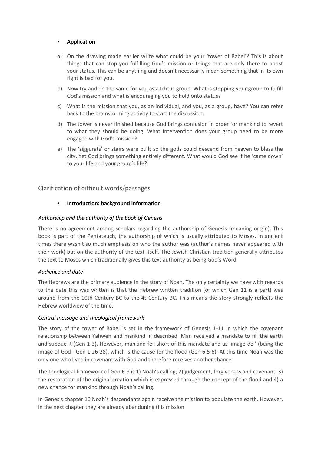#### **Application**

- a) On the drawing made earlier write what could be your 'tower of Babel'? This is about things that can stop you fulfilling God's mission or things that are only there to boost your status. This can be anything and doesn't necessarily mean something that in its own right is bad for you.
- b) Now try and do the same for you as a Ichtus group. What is stopping your group to fulfill God's mission and what is encouraging you to hold onto status?
- c) What is the mission that you, as an individual, and you, as a group, have? You can refer back to the brainstorming activity to start the discussion.
- d) The tower is never finished because God brings confusion in order for mankind to revert to what they should be doing. What intervention does your group need to be more engaged with God's mission?
- e) The 'ziggurats' or stairs were built so the gods could descend from heaven to bless the city. Yet God brings something entirely different. What would God see if he 'came down' to your life and your group's life?

#### Clarification of difficult words/passages

#### ▪ **Introduction: background information**

#### *Authorship and the authority of the book of Genesis*

There is no agreement among scholars regarding the authorship of Genesis (meaning origin). This book is part of the Pentateuch, the authorship of which is usually attributed to Moses. In ancient times there wasn't so much emphasis on who the author was (author's names never appeared with their work) but on the authority of the text itself. The Jewish-Christian tradition generally attributes the text to Moses which traditionally gives this text authority as being God's Word.

#### *Audience and date*

The Hebrews are the primary audience in the story of Noah. The only certainty we have with regards to the date this was written is that the Hebrew written tradition (of which Gen 11 is a part) was around from the 10th Century BC to the 4t Century BC. This means the story strongly reflects the Hebrew worldview of the time.

#### *Central message and theological framework*

The story of the tower of Babel is set in the framework of Genesis 1-11 in which the covenant relationship between Yahweh and mankind in described. Man received a mandate to fill the earth and subdue it (Gen 1-3). However, mankind fell short of this mandate and as 'imago dei' (being the image of God - Gen 1:26-28), which is the cause for the flood (Gen 6:5-6). At this time Noah was the only one who lived in covenant with God and therefore receives another chance.

The theological framework of Gen 6-9 is 1) Noah's calling, 2) judgement, forgiveness and covenant, 3) the restoration of the original creation which is expressed through the concept of the flood and 4) a new chance for mankind through Noah's calling.

In Genesis chapter 10 Noah's descendants again receive the mission to populate the earth. However, in the next chapter they are already abandoning this mission.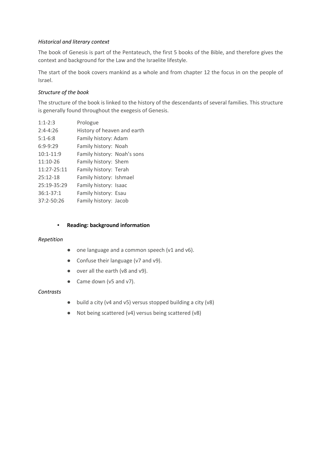### *Historical and literary context*

The book of Genesis is part of the Pentateuch, the first 5 books of the Bible, and therefore gives the context and background for the Law and the Israelite lifestyle.

The start of the book covers mankind as a whole and from chapter 12 the focus in on the people of Israel.

#### *Structure of the book*

The structure of the book is linked to the history of the descendants of several families. This structure is generally found throughout the exegesis of Genesis.

| $1:1 - 2:3$   | Prologue                    |
|---------------|-----------------------------|
| $2:4 - 4:26$  | History of heaven and earth |
| $5:1-6:8$     | Family history: Adam        |
| $6:9-9:29$    | Family history: Noah        |
| $10:1 - 11:9$ | Family history: Noah's sons |
| $11:10-26$    | Family history: Shem        |
| 11:27-25:11   | Family history: Terah       |
| $25:12 - 18$  | Family history: Ishmael     |
| 25:19-35:29   | Family history: Isaac       |
| $36:1 - 37:1$ | Family history: Esau        |
| 37:2-50:26    | Family history: Jacob       |

#### ▪ **Reading: background information**

#### *Repetition*

- one language and a common speech (v1 and v6).
- Confuse their language (v7 and v9).
- over all the earth (v8 and v9).
- Came down (v5 and v7).

#### *Contrasts*

- build a city (v4 and v5) versus stopped building a city (v8)
- Not being scattered (v4) versus being scattered (v8)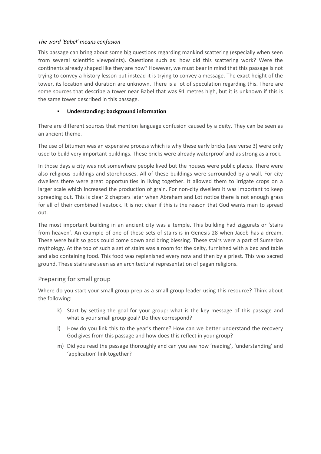#### *The word 'Babel' means confusion*

This passage can bring about some big questions regarding mankind scattering (especially when seen from several scientific viewpoints). Questions such as: how did this scattering work? Were the continents already shaped like they are now? However, we must bear in mind that this passage is not trying to convey a history lesson but instead it is trying to convey a message. The exact height of the tower, its location and duration are unknown. There is a lot of speculation regarding this. There are some sources that describe a tower near Babel that was 91 metres high, but it is unknown if this is the same tower described in this passage.

#### **Understanding: background information**

There are different sources that mention language confusion caused by a deity. They can be seen as an ancient theme.

The use of bitumen was an expensive process which is why these early bricks (see verse 3) were only used to build very important buildings. These bricks were already waterproof and as strong as a rock.

In those days a city was not somewhere people lived but the houses were public places. There were also religious buildings and storehouses. All of these buildings were surrounded by a wall. For city dwellers there were great opportunities in living together. It allowed them to irrigate crops on a larger scale which increased the production of grain. For non-city dwellers it was important to keep spreading out. This is clear 2 chapters later when Abraham and Lot notice there is not enough grass for all of their combined livestock. It is not clear if this is the reason that God wants man to spread out.

The most important building in an ancient city was a temple. This building had ziggurats or 'stairs from heaven'. An example of one of these sets of stairs is in Genesis 28 when Jacob has a dream. These were built so gods could come down and bring blessing. These stairs were a part of Sumerian mythology. At the top of such a set of stairs was a room for the deity, furnished with a bed and table and also containing food. This food was replenished every now and then by a priest. This was sacred ground. These stairs are seen as an architectural representation of pagan religions.

# Preparing for small group

Where do you start your small group prep as a small group leader using this resource? Think about the following:

- k) Start by setting the goal for your group: what is the key message of this passage and what is your small group goal? Do they correspond?
- l) How do you link this to the year's theme? How can we better understand the recovery God gives from this passage and how does this reflect in your group?
- m) Did you read the passage thoroughly and can you see how 'reading', 'understanding' and 'application' link together?